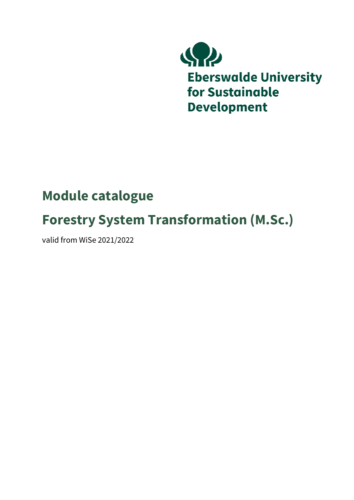

## **Module catalogue**

## **Forestry System Transformation (M.Sc.)**

valid from WiSe 2021/2022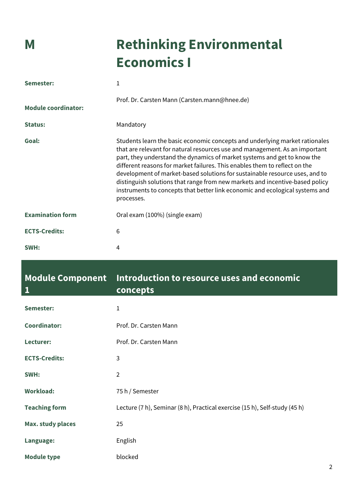# **M Rethinking Environmental Economics I**

| Semester:                  | 1                                                                                                                                                                                                                                                                                                                                                                                                                                                                                                                                                                                 |
|----------------------------|-----------------------------------------------------------------------------------------------------------------------------------------------------------------------------------------------------------------------------------------------------------------------------------------------------------------------------------------------------------------------------------------------------------------------------------------------------------------------------------------------------------------------------------------------------------------------------------|
| <b>Module coordinator:</b> | Prof. Dr. Carsten Mann (Carsten.mann@hnee.de)                                                                                                                                                                                                                                                                                                                                                                                                                                                                                                                                     |
| Status:                    | Mandatory                                                                                                                                                                                                                                                                                                                                                                                                                                                                                                                                                                         |
| Goal:                      | Students learn the basic economic concepts and underlying market rationales<br>that are relevant for natural resources use and management. As an important<br>part, they understand the dynamics of market systems and get to know the<br>different reasons for market failures. This enables them to reflect on the<br>development of market-based solutions for sustainable resource uses, and to<br>distinguish solutions that range from new markets and incentive-based policy<br>instruments to concepts that better link economic and ecological systems and<br>processes. |
| <b>Examination form</b>    | Oral exam (100%) (single exam)                                                                                                                                                                                                                                                                                                                                                                                                                                                                                                                                                    |
| <b>ECTS-Credits:</b>       | 6                                                                                                                                                                                                                                                                                                                                                                                                                                                                                                                                                                                 |
| SWH:                       | 4                                                                                                                                                                                                                                                                                                                                                                                                                                                                                                                                                                                 |

| <b>Module Component</b><br>1 | Introduction to resource uses and economic<br>concepts                     |
|------------------------------|----------------------------------------------------------------------------|
| Semester:                    | 1                                                                          |
| <b>Coordinator:</b>          | Prof. Dr. Carsten Mann                                                     |
| Lecturer:                    | Prof. Dr. Carsten Mann                                                     |
| <b>ECTS-Credits:</b>         | 3                                                                          |
| SWH:                         | $\overline{2}$                                                             |
| <b>Workload:</b>             | 75 h / Semester                                                            |
| <b>Teaching form</b>         | Lecture (7 h), Seminar (8 h), Practical exercise (15 h), Self-study (45 h) |
| <b>Max. study places</b>     | 25                                                                         |
| Language:                    | English                                                                    |
| <b>Module type</b>           | blocked                                                                    |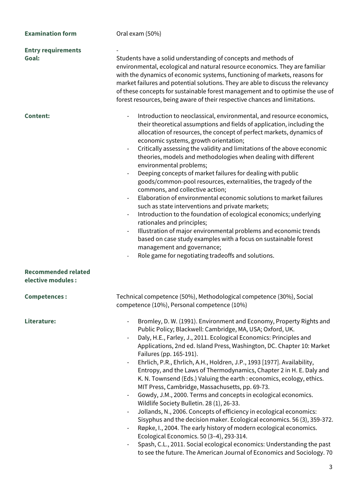| <b>Examination form</b>                          | Oral exam (50%)                                                                                                                                                                                                                                                                                                                                                                                                                                                                                                                                                                                                                                                                                                                                                                                                                                                                                                                                                                                                                                                                                                                                                                          |
|--------------------------------------------------|------------------------------------------------------------------------------------------------------------------------------------------------------------------------------------------------------------------------------------------------------------------------------------------------------------------------------------------------------------------------------------------------------------------------------------------------------------------------------------------------------------------------------------------------------------------------------------------------------------------------------------------------------------------------------------------------------------------------------------------------------------------------------------------------------------------------------------------------------------------------------------------------------------------------------------------------------------------------------------------------------------------------------------------------------------------------------------------------------------------------------------------------------------------------------------------|
| <b>Entry requirements</b><br>Goal:               | Students have a solid understanding of concepts and methods of<br>environmental, ecological and natural resource economics. They are familiar<br>with the dynamics of economic systems, functioning of markets, reasons for<br>market failures and potential solutions. They are able to discuss the relevancy<br>of these concepts for sustainable forest management and to optimise the use of<br>forest resources, being aware of their respective chances and limitations.                                                                                                                                                                                                                                                                                                                                                                                                                                                                                                                                                                                                                                                                                                           |
| <b>Content:</b>                                  | Introduction to neoclassical, environmental, and resource economics,<br>their theoretical assumptions and fields of application, including the<br>allocation of resources, the concept of perfect markets, dynamics of<br>economic systems, growth orientation;<br>Critically assessing the validity and limitations of the above economic<br>theories, models and methodologies when dealing with different<br>environmental problems;<br>Deeping concepts of market failures for dealing with public<br>goods/common-pool resources, externalities, the tragedy of the<br>commons, and collective action;<br>Elaboration of environmental economic solutions to market failures<br>such as state interventions and private markets;<br>Introduction to the foundation of ecological economics; underlying<br>rationales and principles;<br>Illustration of major environmental problems and economic trends<br>based on case study examples with a focus on sustainable forest<br>management and governance;<br>Role game for negotiating tradeoffs and solutions.                                                                                                                     |
| <b>Recommended related</b><br>elective modules : |                                                                                                                                                                                                                                                                                                                                                                                                                                                                                                                                                                                                                                                                                                                                                                                                                                                                                                                                                                                                                                                                                                                                                                                          |
| <b>Competences:</b>                              | Technical competence (50%), Methodological competence (30%), Social<br>competence (10%), Personal competence (10%)                                                                                                                                                                                                                                                                                                                                                                                                                                                                                                                                                                                                                                                                                                                                                                                                                                                                                                                                                                                                                                                                       |
| Literature:                                      | Bromley, D. W. (1991). Environment and Economy, Property Rights and<br>Public Policy; Blackwell: Cambridge, MA, USA; Oxford, UK.<br>Daly, H.E., Farley, J., 2011. Ecological Economics: Principles and<br>Applications, 2nd ed. Island Press, Washington, DC. Chapter 10: Market<br>Failures (pp. 165-191).<br>Ehrlich, P.R., Ehrlich, A.H., Holdren, J.P., 1993 [1977]. Availability,<br>$\overline{\phantom{a}}$<br>Entropy, and the Laws of Thermodynamics, Chapter 2 in H. E. Daly and<br>K. N. Townsend (Eds.) Valuing the earth: economics, ecology, ethics.<br>MIT Press, Cambridge, Massachusetts, pp. 69-73.<br>Gowdy, J.M., 2000. Terms and concepts in ecological economics.<br>Wildlife Society Bulletin. 28 (1), 26-33.<br>Jollands, N., 2006. Concepts of efficiency in ecological economics:<br>$\overline{\phantom{a}}$<br>Sisyphus and the decision maker. Ecological economics. 56 (3), 359-372.<br>Røpke, I., 2004. The early history of modern ecological economics.<br>Ecological Economics. 50 (3-4), 293-314.<br>Spash, C.L., 2011. Social ecological economics: Understanding the past<br>to see the future. The American Journal of Economics and Sociology. 70 |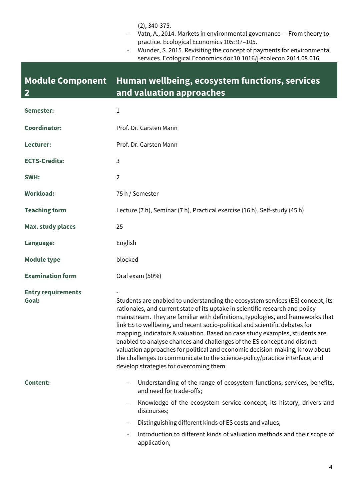(2), 340-375.

- Vatn, A., 2014. Markets in environmental governance From theory to practice. Ecological Economics 105: 97–105.
- Wunder, S. 2015. Revisiting the concept of payments for environmental services. Ecological Economics doi:10.1016/j.ecolecon.2014.08.016.

#### **Module Component 2 Human wellbeing, ecosystem functions, services and valuation approaches**

| Semester:                          | 1                                                                                                                                                                                                                                                                                                                                                                                                                                                                                                                                                                                                                                                                                                     |
|------------------------------------|-------------------------------------------------------------------------------------------------------------------------------------------------------------------------------------------------------------------------------------------------------------------------------------------------------------------------------------------------------------------------------------------------------------------------------------------------------------------------------------------------------------------------------------------------------------------------------------------------------------------------------------------------------------------------------------------------------|
| <b>Coordinator:</b>                | Prof. Dr. Carsten Mann                                                                                                                                                                                                                                                                                                                                                                                                                                                                                                                                                                                                                                                                                |
| Lecturer:                          | Prof. Dr. Carsten Mann                                                                                                                                                                                                                                                                                                                                                                                                                                                                                                                                                                                                                                                                                |
| <b>ECTS-Credits:</b>               | 3                                                                                                                                                                                                                                                                                                                                                                                                                                                                                                                                                                                                                                                                                                     |
| SWH:                               | $\overline{2}$                                                                                                                                                                                                                                                                                                                                                                                                                                                                                                                                                                                                                                                                                        |
| <b>Workload:</b>                   | 75 h / Semester                                                                                                                                                                                                                                                                                                                                                                                                                                                                                                                                                                                                                                                                                       |
| <b>Teaching form</b>               | Lecture (7 h), Seminar (7 h), Practical exercise (16 h), Self-study (45 h)                                                                                                                                                                                                                                                                                                                                                                                                                                                                                                                                                                                                                            |
| <b>Max. study places</b>           | 25                                                                                                                                                                                                                                                                                                                                                                                                                                                                                                                                                                                                                                                                                                    |
| Language:                          | English                                                                                                                                                                                                                                                                                                                                                                                                                                                                                                                                                                                                                                                                                               |
| <b>Module type</b>                 | blocked                                                                                                                                                                                                                                                                                                                                                                                                                                                                                                                                                                                                                                                                                               |
| <b>Examination form</b>            | Oral exam (50%)                                                                                                                                                                                                                                                                                                                                                                                                                                                                                                                                                                                                                                                                                       |
| <b>Entry requirements</b><br>Goal: | Students are enabled to understanding the ecosystem services (ES) concept, its<br>rationales, and current state of its uptake in scientific research and policy<br>mainstream. They are familiar with definitions, typologies, and frameworks that<br>link ES to wellbeing, and recent socio-political and scientific debates for<br>mapping, indicators & valuation. Based on case study examples, students are<br>enabled to analyse chances and challenges of the ES concept and distinct<br>valuation approaches for political and economic decision-making, know about<br>the challenges to communicate to the science-policy/practice interface, and<br>develop strategies for overcoming them. |
| <b>Content:</b>                    | Understanding of the range of ecosystem functions, services, benefits,<br>and need for trade-offs;<br>Knowledge of the ecosystem service concept, its history, drivers and<br>discourses;<br>Distinguishing different kinds of ES costs and values;                                                                                                                                                                                                                                                                                                                                                                                                                                                   |
|                                    | Introduction to different kinds of valuation methods and their scope of<br>application;                                                                                                                                                                                                                                                                                                                                                                                                                                                                                                                                                                                                               |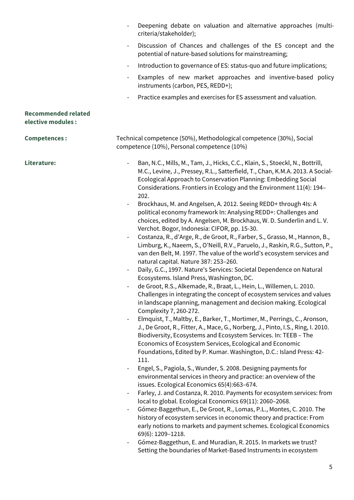|                                                  | Deepening debate on valuation and alternative approaches (multi-<br>criteria/stakeholder);                                                                                                                                                                                                                                                                                                                                                                                                                                                                                                                                                                                                                                                                                                                                                                                                                                                                                                                                                                                                                                                                                                                                                                                                                                                                                                                                                                                                                                                                                                                                                                                                                                                                                                                                                                                                                                                                                                                                                                                                                                                                                                                                                                                                                                                   |
|--------------------------------------------------|----------------------------------------------------------------------------------------------------------------------------------------------------------------------------------------------------------------------------------------------------------------------------------------------------------------------------------------------------------------------------------------------------------------------------------------------------------------------------------------------------------------------------------------------------------------------------------------------------------------------------------------------------------------------------------------------------------------------------------------------------------------------------------------------------------------------------------------------------------------------------------------------------------------------------------------------------------------------------------------------------------------------------------------------------------------------------------------------------------------------------------------------------------------------------------------------------------------------------------------------------------------------------------------------------------------------------------------------------------------------------------------------------------------------------------------------------------------------------------------------------------------------------------------------------------------------------------------------------------------------------------------------------------------------------------------------------------------------------------------------------------------------------------------------------------------------------------------------------------------------------------------------------------------------------------------------------------------------------------------------------------------------------------------------------------------------------------------------------------------------------------------------------------------------------------------------------------------------------------------------------------------------------------------------------------------------------------------------|
|                                                  | Discussion of Chances and challenges of the ES concept and the<br>potential of nature-based solutions for mainstreaming;                                                                                                                                                                                                                                                                                                                                                                                                                                                                                                                                                                                                                                                                                                                                                                                                                                                                                                                                                                                                                                                                                                                                                                                                                                                                                                                                                                                                                                                                                                                                                                                                                                                                                                                                                                                                                                                                                                                                                                                                                                                                                                                                                                                                                     |
|                                                  | Introduction to governance of ES: status-quo and future implications;                                                                                                                                                                                                                                                                                                                                                                                                                                                                                                                                                                                                                                                                                                                                                                                                                                                                                                                                                                                                                                                                                                                                                                                                                                                                                                                                                                                                                                                                                                                                                                                                                                                                                                                                                                                                                                                                                                                                                                                                                                                                                                                                                                                                                                                                        |
|                                                  | Examples of new market approaches and inventive-based policy<br>instruments (carbon, PES, REDD+);                                                                                                                                                                                                                                                                                                                                                                                                                                                                                                                                                                                                                                                                                                                                                                                                                                                                                                                                                                                                                                                                                                                                                                                                                                                                                                                                                                                                                                                                                                                                                                                                                                                                                                                                                                                                                                                                                                                                                                                                                                                                                                                                                                                                                                            |
|                                                  | Practice examples and exercises for ES assessment and valuation.                                                                                                                                                                                                                                                                                                                                                                                                                                                                                                                                                                                                                                                                                                                                                                                                                                                                                                                                                                                                                                                                                                                                                                                                                                                                                                                                                                                                                                                                                                                                                                                                                                                                                                                                                                                                                                                                                                                                                                                                                                                                                                                                                                                                                                                                             |
| <b>Recommended related</b><br>elective modules : |                                                                                                                                                                                                                                                                                                                                                                                                                                                                                                                                                                                                                                                                                                                                                                                                                                                                                                                                                                                                                                                                                                                                                                                                                                                                                                                                                                                                                                                                                                                                                                                                                                                                                                                                                                                                                                                                                                                                                                                                                                                                                                                                                                                                                                                                                                                                              |
| <b>Competences:</b>                              | Technical competence (50%), Methodological competence (30%), Social<br>competence (10%), Personal competence (10%)                                                                                                                                                                                                                                                                                                                                                                                                                                                                                                                                                                                                                                                                                                                                                                                                                                                                                                                                                                                                                                                                                                                                                                                                                                                                                                                                                                                                                                                                                                                                                                                                                                                                                                                                                                                                                                                                                                                                                                                                                                                                                                                                                                                                                           |
| Literature:                                      | Ban, N.C., Mills, M., Tam, J., Hicks, C.C., Klain, S., Stoeckl, N., Bottrill,<br>M.C., Levine, J., Pressey, R.L., Satterfield, T., Chan, K.M.A. 2013. A Social-<br>Ecological Approach to Conservation Planning: Embedding Social<br>Considerations. Frontiers in Ecology and the Environment 11(4): 194-<br>202.<br>Brockhaus, M. and Angelsen, A. 2012. Seeing REDD+ through 4Is: A<br>political economy framework In: Analysing REDD+: Challenges and<br>choices, edited by A. Angelsen, M. Brockhaus, W. D. Sunderlin and L. V.<br>Verchot. Bogor, Indonesia: CIFOR, pp. 15-30.<br>Costanza, R., d'Arge, R., de Groot, R., Farber, S., Grasso, M., Hannon, B.,<br>Limburg, K., Naeem, S., O'Neill, R.V., Paruelo, J., Raskin, R.G., Sutton, P.,<br>van den Belt, M. 1997. The value of the world's ecosystem services and<br>natural capital. Nature 387: 253-260.<br>Daily, G.C., 1997. Nature's Services: Societal Dependence on Natural<br>Ecosystems. Island Press, Washington, DC.<br>de Groot, R.S., Alkemade, R., Braat, L., Hein, L., Willemen, L. 2010.<br>Challenges in integrating the concept of ecosystem services and values<br>in landscape planning, management and decision making. Ecological<br>Complexity 7, 260-272.<br>Elmquist, T., Maltby, E., Barker, T., Mortimer, M., Perrings, C., Aronson,<br>J., De Groot, R., Fitter, A., Mace, G., Norberg, J., Pinto, I.S., Ring, I. 2010.<br>Biodiversity, Ecosystems and Ecosystem Services. In: TEEB - The<br>Economics of Ecosystem Services, Ecological and Economic<br>Foundations, Edited by P. Kumar. Washington, D.C.: Island Press: 42-<br>111.<br>Engel, S., Pagiola, S., Wunder, S. 2008. Designing payments for<br>environmental services in theory and practice: an overview of the<br>issues. Ecological Economics 65(4):663-674.<br>Farley, J. and Costanza, R. 2010. Payments for ecosystem services: from<br>local to global. Ecological Economics 69(11): 2060-2068.<br>Gómez-Baggethun, E., De Groot, R., Lomas, P.L., Montes, C. 2010. The<br>history of ecosystem services in economic theory and practice: From<br>early notions to markets and payment schemes. Ecological Economics<br>69(6): 1209-1218.<br>Gómez-Baggethun, E. and Muradian, R. 2015. In markets we trust?<br>Setting the boundaries of Market-Based Instruments in ecosystem |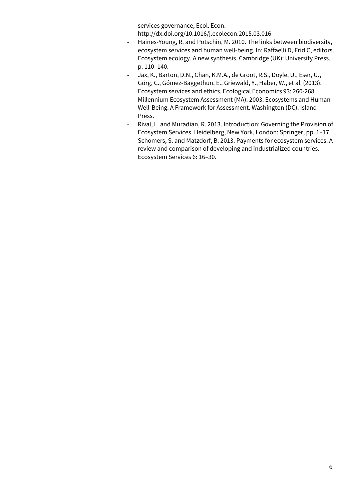services governance, Ecol. Econ.

http://dx.doi.org/10.1016/j.ecolecon.2015.03.016

- Haines-Young, R. and Potschin, M. 2010. The links between biodiversity, ecosystem services and human well-being. In: Raffaelli D, Frid C, editors. Ecosystem ecology. A new synthesis. Cambridge (UK): University Press. p. 110–140.
- Jax, K., Barton, D.N., Chan, K.M.A., de Groot, R.S., Doyle, U., Eser, U., Görg, C., Gómez-Baggethun, E., Griewald, Y., Haber, W., et al. (2013). Ecosystem services and ethics. Ecological Economics 93: 260-268.
- Millennium Ecosystem Assessment (MA). 2003. Ecosystems and Human Well-Being: A Framework for Assessment. Washington (DC): Island Press.
- Rival, L. and Muradian, R. 2013. Introduction: Governing the Provision of Ecosystem Services. Heidelberg, New York, London: Springer, pp. 1–17.
- Schomers, S. and Matzdorf, B. 2013. Payments for ecosystem services: A review and comparison of developing and industrialized countries. Ecosystem Services 6: 16–30.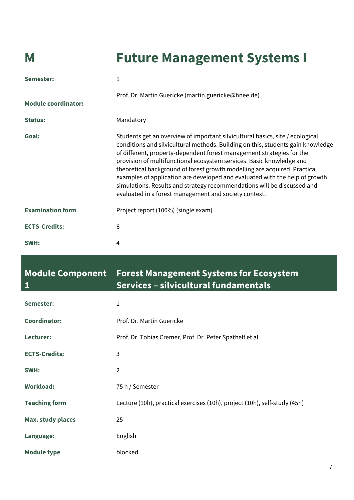## **M Future Management Systems I**

| Semester:                  | 1                                                                                                                                                                                                                                                                                                                                                                                                                                                                                                                                                                                                                 |
|----------------------------|-------------------------------------------------------------------------------------------------------------------------------------------------------------------------------------------------------------------------------------------------------------------------------------------------------------------------------------------------------------------------------------------------------------------------------------------------------------------------------------------------------------------------------------------------------------------------------------------------------------------|
| <b>Module coordinator:</b> | Prof. Dr. Martin Guericke (martin.guericke@hnee.de)                                                                                                                                                                                                                                                                                                                                                                                                                                                                                                                                                               |
| <b>Status:</b>             | Mandatory                                                                                                                                                                                                                                                                                                                                                                                                                                                                                                                                                                                                         |
| Goal:                      | Students get an overview of important silvicultural basics, site / ecological<br>conditions and silvicultural methods. Building on this, students gain knowledge<br>of different, property-dependent forest management strategies for the<br>provision of multifunctional ecosystem services. Basic knowledge and<br>theoretical background of forest growth modelling are acquired. Practical<br>examples of application are developed and evaluated with the help of growth<br>simulations. Results and strategy recommendations will be discussed and<br>evaluated in a forest management and society context. |
| <b>Examination form</b>    | Project report (100%) (single exam)                                                                                                                                                                                                                                                                                                                                                                                                                                                                                                                                                                               |
| <b>ECTS-Credits:</b>       | 6                                                                                                                                                                                                                                                                                                                                                                                                                                                                                                                                                                                                                 |
| SWH:                       | 4                                                                                                                                                                                                                                                                                                                                                                                                                                                                                                                                                                                                                 |

#### **Module Component Forest Management Systems for Ecosystem 1 Services – silvicultural fundamentals**

| Semester:                | 1                                                                         |
|--------------------------|---------------------------------------------------------------------------|
| <b>Coordinator:</b>      | Prof. Dr. Martin Guericke                                                 |
| Lecturer:                | Prof. Dr. Tobias Cremer, Prof. Dr. Peter Spathelf et al.                  |
| <b>ECTS-Credits:</b>     | 3                                                                         |
| SWH:                     | $\overline{2}$                                                            |
| <b>Workload:</b>         | 75 h / Semester                                                           |
| <b>Teaching form</b>     | Lecture (10h), practical exercises (10h), project (10h), self-study (45h) |
| <b>Max. study places</b> | 25                                                                        |
| Language:                | English                                                                   |
| <b>Module type</b>       | blocked                                                                   |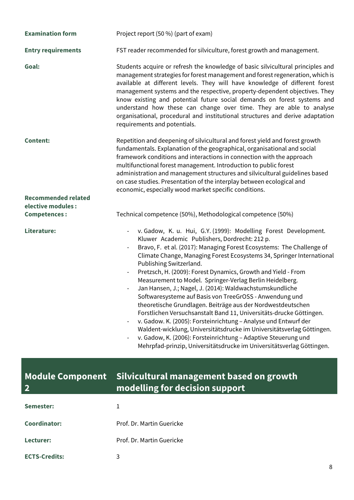| <b>Examination form</b>    | Project report (50 %) (part of exam)                                                                                                                                                                                                                                                                                                                                                                                                                                                                                                                                                                                                                                                                                                                                                                                                                                                                                                                                           |
|----------------------------|--------------------------------------------------------------------------------------------------------------------------------------------------------------------------------------------------------------------------------------------------------------------------------------------------------------------------------------------------------------------------------------------------------------------------------------------------------------------------------------------------------------------------------------------------------------------------------------------------------------------------------------------------------------------------------------------------------------------------------------------------------------------------------------------------------------------------------------------------------------------------------------------------------------------------------------------------------------------------------|
| <b>Entry requirements</b>  | FST reader recommended for silviculture, forest growth and management.                                                                                                                                                                                                                                                                                                                                                                                                                                                                                                                                                                                                                                                                                                                                                                                                                                                                                                         |
| Goal:                      | Students acquire or refresh the knowledge of basic silvicultural principles and<br>management strategies for forest management and forest regeneration, which is<br>available at different levels. They will have knowledge of different forest<br>management systems and the respective, property-dependent objectives. They<br>know existing and potential future social demands on forest systems and<br>understand how these can change over time. They are able to analyse<br>organisational, procedural and institutional structures and derive adaptation<br>requirements and potentials.                                                                                                                                                                                                                                                                                                                                                                               |
| <b>Content:</b>            | Repetition and deepening of silvicultural and forest yield and forest growth<br>fundamentals. Explanation of the geographical, organisational and social<br>framework conditions and interactions in connection with the approach<br>multifunctional forest management. Introduction to public forest<br>administration and management structures and silvicultural guidelines based<br>on case studies. Presentation of the interplay between ecological and<br>economic, especially wood market specific conditions.                                                                                                                                                                                                                                                                                                                                                                                                                                                         |
| <b>Recommended related</b> |                                                                                                                                                                                                                                                                                                                                                                                                                                                                                                                                                                                                                                                                                                                                                                                                                                                                                                                                                                                |
| elective modules :         |                                                                                                                                                                                                                                                                                                                                                                                                                                                                                                                                                                                                                                                                                                                                                                                                                                                                                                                                                                                |
| <b>Competences:</b>        | Technical competence (50%), Methodological competence (50%)                                                                                                                                                                                                                                                                                                                                                                                                                                                                                                                                                                                                                                                                                                                                                                                                                                                                                                                    |
| Literature:                | v. Gadow, K. u. Hui, G.Y. (1999): Modelling Forest Development.<br>Kluwer Academic Publishers, Dordrecht: 212 p.<br>Bravo, F. et al. (2017): Managing Forest Ecosystems: The Challenge of<br>Climate Change, Managing Forest Ecosystems 34, Springer International<br>Publishing Switzerland.<br>Pretzsch, H. (2009): Forest Dynamics, Growth and Yield - From<br>Measurement to Model. Springer-Verlag Berlin Heidelberg.<br>Jan Hansen, J.; Nagel, J. (2014): Waldwachstumskundliche<br>Softwaresysteme auf Basis von TreeGrOSS - Anwendung und<br>theoretische Grundlagen. Beiträge aus der Nordwestdeutschen<br>Forstlichen Versuchsanstalt Band 11, Universitäts-drucke Göttingen.<br>v. Gadow. K. (2005): Forsteinrichtung - Analyse und Entwurf der<br>Waldent-wicklung, Universitätsdrucke im Universitätsverlag Göttingen.<br>v. Gadow, K. (2006): Forsteinrichtung - Adaptive Steuerung und<br>Mehrpfad-prinzip, Universitätsdrucke im Universitätsverlag Göttingen. |

#### **Module Component 2 Silvicultural management based on growth modelling for decision support**

| Semester:            |                           |
|----------------------|---------------------------|
| Coordinator:         | Prof. Dr. Martin Guericke |
| Lecturer:            | Prof. Dr. Martin Guericke |
| <b>ECTS-Credits:</b> | 3                         |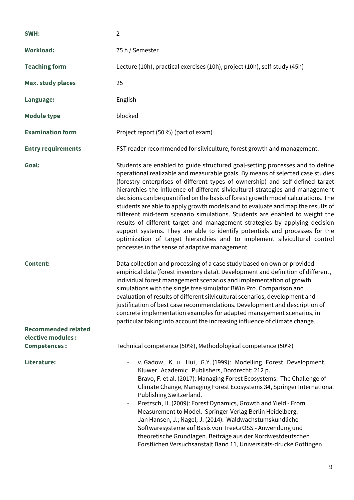| SWH:                                      | $\overline{2}$                                                                                                                                                                                                                                                                                                                                                                                                                                                                                                                                                                                                                                                                                                                                                                                                                                                                         |
|-------------------------------------------|----------------------------------------------------------------------------------------------------------------------------------------------------------------------------------------------------------------------------------------------------------------------------------------------------------------------------------------------------------------------------------------------------------------------------------------------------------------------------------------------------------------------------------------------------------------------------------------------------------------------------------------------------------------------------------------------------------------------------------------------------------------------------------------------------------------------------------------------------------------------------------------|
| <b>Workload:</b>                          | 75 h / Semester                                                                                                                                                                                                                                                                                                                                                                                                                                                                                                                                                                                                                                                                                                                                                                                                                                                                        |
| <b>Teaching form</b>                      | Lecture (10h), practical exercises (10h), project (10h), self-study (45h)                                                                                                                                                                                                                                                                                                                                                                                                                                                                                                                                                                                                                                                                                                                                                                                                              |
| <b>Max. study places</b>                  | 25                                                                                                                                                                                                                                                                                                                                                                                                                                                                                                                                                                                                                                                                                                                                                                                                                                                                                     |
| Language:                                 | English                                                                                                                                                                                                                                                                                                                                                                                                                                                                                                                                                                                                                                                                                                                                                                                                                                                                                |
| <b>Module type</b>                        | blocked                                                                                                                                                                                                                                                                                                                                                                                                                                                                                                                                                                                                                                                                                                                                                                                                                                                                                |
| <b>Examination form</b>                   | Project report (50 %) (part of exam)                                                                                                                                                                                                                                                                                                                                                                                                                                                                                                                                                                                                                                                                                                                                                                                                                                                   |
| <b>Entry requirements</b>                 | FST reader recommended for silviculture, forest growth and management.                                                                                                                                                                                                                                                                                                                                                                                                                                                                                                                                                                                                                                                                                                                                                                                                                 |
| Goal:                                     | Students are enabled to guide structured goal-setting processes and to define<br>operational realizable and measurable goals. By means of selected case studies<br>(forestry enterprises of different types of ownership) and self-defined target<br>hierarchies the influence of different silvicultural strategies and management<br>decisions can be quantified on the basis of forest growth model calculations. The<br>students are able to apply growth models and to evaluate and map the results of<br>different mid-term scenario simulations. Students are enabled to weight the<br>results of different target and management strategies by applying decision<br>support systems. They are able to identify potentials and processes for the<br>optimization of target hierarchies and to implement silvicultural control<br>processes in the sense of adaptive management. |
| <b>Content:</b>                           | Data collection and processing of a case study based on own or provided<br>empirical data (forest inventory data). Development and definition of different,<br>individual forest management scenarios and implementation of growth<br>simulations with the single tree simulator BWin Pro. Comparison and<br>evaluation of results of different silvicultural scenarios, development and<br>justification of best case recommendations. Development and description of<br>concrete implementation examples for adapted management scenarios, in<br>particular taking into account the increasing influence of climate change.                                                                                                                                                                                                                                                          |
| <b>Recommended related</b>                |                                                                                                                                                                                                                                                                                                                                                                                                                                                                                                                                                                                                                                                                                                                                                                                                                                                                                        |
| elective modules :<br><b>Competences:</b> | Technical competence (50%), Methodological competence (50%)                                                                                                                                                                                                                                                                                                                                                                                                                                                                                                                                                                                                                                                                                                                                                                                                                            |
| Literature:                               | v. Gadow, K. u. Hui, G.Y. (1999): Modelling Forest Development.<br>Kluwer Academic Publishers, Dordrecht: 212 p.<br>Bravo, F. et al. (2017): Managing Forest Ecosystems: The Challenge of<br>Climate Change, Managing Forest Ecosystems 34, Springer International<br>Publishing Switzerland.<br>Pretzsch, H. (2009): Forest Dynamics, Growth and Yield - From<br>$\overline{\phantom{a}}$<br>Measurement to Model. Springer-Verlag Berlin Heidelberg.<br>Jan Hansen, J.; Nagel, J. (2014): Waldwachstumskundliche<br>Softwaresysteme auf Basis von TreeGrOSS - Anwendung und<br>theoretische Grundlagen. Beiträge aus der Nordwestdeutschen<br>Forstlichen Versuchsanstalt Band 11, Universitäts-drucke Göttingen.                                                                                                                                                                    |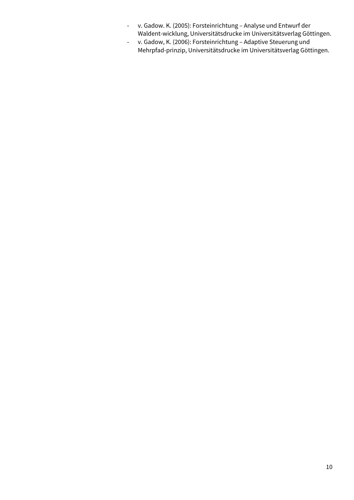- v. Gadow. K. (2005): Forsteinrichtung Analyse und Entwurf der Waldent-wicklung, Universitätsdrucke im Universitätsverlag Göttingen.
- v. Gadow, K. (2006): Forsteinrichtung Adaptive Steuerung und Mehrpfad-prinzip, Universitätsdrucke im Universitätsverlag Göttingen.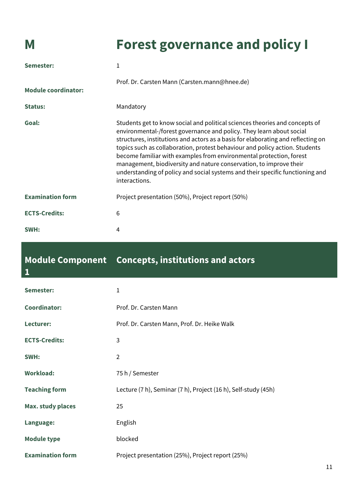**1**

## **M Forest governance and policy I**

| Semester:                  | 1                                                                                                                                                                                                                                                                                                                                                                                                                                                                                                                                                                     |
|----------------------------|-----------------------------------------------------------------------------------------------------------------------------------------------------------------------------------------------------------------------------------------------------------------------------------------------------------------------------------------------------------------------------------------------------------------------------------------------------------------------------------------------------------------------------------------------------------------------|
| <b>Module coordinator:</b> | Prof. Dr. Carsten Mann (Carsten.mann@hnee.de)                                                                                                                                                                                                                                                                                                                                                                                                                                                                                                                         |
| <b>Status:</b>             | Mandatory                                                                                                                                                                                                                                                                                                                                                                                                                                                                                                                                                             |
| Goal:                      | Students get to know social and political sciences theories and concepts of<br>environmental-/forest governance and policy. They learn about social<br>structures, institutions and actors as a basis for elaborating and reflecting on<br>topics such as collaboration, protest behaviour and policy action. Students<br>become familiar with examples from environmental protection, forest<br>management, biodiversity and nature conservation, to improve their<br>understanding of policy and social systems and their specific functioning and<br>interactions. |
| <b>Examination form</b>    | Project presentation (50%), Project report (50%)                                                                                                                                                                                                                                                                                                                                                                                                                                                                                                                      |
| <b>ECTS-Credits:</b>       | 6                                                                                                                                                                                                                                                                                                                                                                                                                                                                                                                                                                     |
| SWH:                       | 4                                                                                                                                                                                                                                                                                                                                                                                                                                                                                                                                                                     |

### **Module Component Concepts, institutions and actors**

| Semester:                | 1                                                              |
|--------------------------|----------------------------------------------------------------|
| <b>Coordinator:</b>      | Prof. Dr. Carsten Mann                                         |
| Lecturer:                | Prof. Dr. Carsten Mann, Prof. Dr. Heike Walk                   |
| <b>ECTS-Credits:</b>     | 3                                                              |
| SWH:                     | $\overline{2}$                                                 |
| <b>Workload:</b>         | 75 h / Semester                                                |
| <b>Teaching form</b>     | Lecture (7 h), Seminar (7 h), Project (16 h), Self-study (45h) |
| <b>Max. study places</b> | 25                                                             |
| Language:                | English                                                        |
| <b>Module type</b>       | blocked                                                        |
| <b>Examination form</b>  | Project presentation (25%), Project report (25%)               |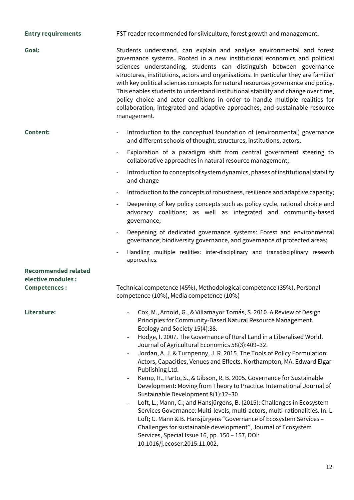| <b>Entry requirements</b>  | FST reader recommended for silviculture, forest growth and management.                                                                                                                                                                                                                                                                                                                                                                                                                                                                                                                                                                                                                                                                                                                                                                                                                                                                                                                                                                                |
|----------------------------|-------------------------------------------------------------------------------------------------------------------------------------------------------------------------------------------------------------------------------------------------------------------------------------------------------------------------------------------------------------------------------------------------------------------------------------------------------------------------------------------------------------------------------------------------------------------------------------------------------------------------------------------------------------------------------------------------------------------------------------------------------------------------------------------------------------------------------------------------------------------------------------------------------------------------------------------------------------------------------------------------------------------------------------------------------|
| Goal:                      | Students understand, can explain and analyse environmental and forest<br>governance systems. Rooted in a new institutional economics and political<br>sciences understanding, students can distinguish between governance<br>structures, institutions, actors and organisations. In particular they are familiar<br>with key political sciences concepts for natural resources governance and policy.<br>This enables students to understand institutional stability and change over time,<br>policy choice and actor coalitions in order to handle multiple realities for<br>collaboration, integrated and adaptive approaches, and sustainable resource<br>management.                                                                                                                                                                                                                                                                                                                                                                              |
| <b>Content:</b>            | Introduction to the conceptual foundation of (environmental) governance<br>and different schools of thought: structures, institutions, actors;                                                                                                                                                                                                                                                                                                                                                                                                                                                                                                                                                                                                                                                                                                                                                                                                                                                                                                        |
|                            | Exploration of a paradigm shift from central government steering to<br>$\overline{\phantom{a}}$<br>collaborative approaches in natural resource management;                                                                                                                                                                                                                                                                                                                                                                                                                                                                                                                                                                                                                                                                                                                                                                                                                                                                                           |
|                            | Introduction to concepts of system dynamics, phases of institutional stability<br>$\overline{\phantom{a}}$<br>and change                                                                                                                                                                                                                                                                                                                                                                                                                                                                                                                                                                                                                                                                                                                                                                                                                                                                                                                              |
|                            | Introduction to the concepts of robustness, resilience and adaptive capacity;                                                                                                                                                                                                                                                                                                                                                                                                                                                                                                                                                                                                                                                                                                                                                                                                                                                                                                                                                                         |
|                            | Deepening of key policy concepts such as policy cycle, rational choice and<br>advocacy coalitions; as well as integrated and community-based<br>governance;                                                                                                                                                                                                                                                                                                                                                                                                                                                                                                                                                                                                                                                                                                                                                                                                                                                                                           |
|                            | Deepening of dedicated governance systems: Forest and environmental<br>governance; biodiversity governance, and governance of protected areas;                                                                                                                                                                                                                                                                                                                                                                                                                                                                                                                                                                                                                                                                                                                                                                                                                                                                                                        |
|                            | Handling multiple realities: inter-disciplinary and transdisciplinary research<br>approaches.                                                                                                                                                                                                                                                                                                                                                                                                                                                                                                                                                                                                                                                                                                                                                                                                                                                                                                                                                         |
| <b>Recommended related</b> |                                                                                                                                                                                                                                                                                                                                                                                                                                                                                                                                                                                                                                                                                                                                                                                                                                                                                                                                                                                                                                                       |
| elective modules :         |                                                                                                                                                                                                                                                                                                                                                                                                                                                                                                                                                                                                                                                                                                                                                                                                                                                                                                                                                                                                                                                       |
| <b>Competences:</b>        | Technical competence (45%), Methodological competence (35%), Personal<br>competence (10%), Media competence (10%)                                                                                                                                                                                                                                                                                                                                                                                                                                                                                                                                                                                                                                                                                                                                                                                                                                                                                                                                     |
| Literature:                | Cox, M., Arnold, G., & Villamayor Tomás, S. 2010. A Review of Design<br>Principles for Community-Based Natural Resource Management.<br>Ecology and Society 15(4):38.<br>Hodge, I. 2007. The Governance of Rural Land in a Liberalised World.<br>Journal of Agricultural Economics 58(3):409-32.<br>Jordan, A. J. & Turnpenny, J. R. 2015. The Tools of Policy Formulation:<br>Actors, Capacities, Venues and Effects. Northampton, MA: Edward Elgar<br>Publishing Ltd.<br>Kemp, R., Parto, S., & Gibson, R. B. 2005. Governance for Sustainable<br>Development: Moving from Theory to Practice. International Journal of<br>Sustainable Development 8(1):12-30.<br>Loft, L.; Mann, C.; and Hansjürgens, B. (2015): Challenges in Ecosystem<br>Services Governance: Multi-levels, multi-actors, multi-rationalities. In: L.<br>Loft; C. Mann & B. Hansjürgens "Governance of Ecosystem Services -<br>Challenges for sustainable development", Journal of Ecosystem<br>Services, Special Issue 16, pp. 150 - 157, DOI:<br>10.1016/j.ecoser.2015.11.002. |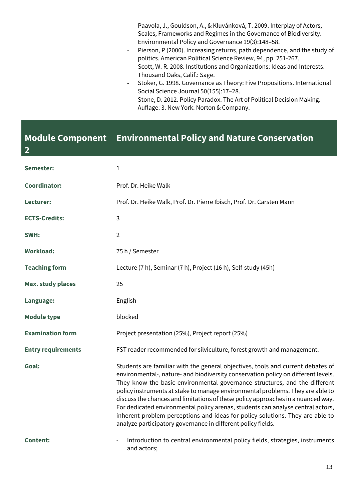- Paavola, J., Gouldson, A., & Kluvánková, T. 2009. Interplay of Actors, Scales, Frameworks and Regimes in the Governance of Biodiversity. Environmental Policy and Governance 19(3):148–58.
- Pierson, P (2000). Increasing returns, path dependence, and the study of politics. American Political Science Review, 94, pp. 251-267.
- Scott, W. R. 2008. Institutions and Organizations: Ideas and Interests. Thousand Oaks, Calif.: Sage.
- Stoker, G. 1998. Governance as Theory: Five Propositions. International Social Science Journal 50(155):17–28.
- Stone, D. 2012. Policy Paradox: The Art of Political Decision Making. Auflage: 3. New York: Norton & Company.

#### **Module Component Environmental Policy and Nature Conservation**

**2**

| Semester:                 | 1                                                                                                                                                                                                                                                                                                                                                                                                                                                                                                                                                                                                                                                            |
|---------------------------|--------------------------------------------------------------------------------------------------------------------------------------------------------------------------------------------------------------------------------------------------------------------------------------------------------------------------------------------------------------------------------------------------------------------------------------------------------------------------------------------------------------------------------------------------------------------------------------------------------------------------------------------------------------|
| <b>Coordinator:</b>       | Prof. Dr. Heike Walk                                                                                                                                                                                                                                                                                                                                                                                                                                                                                                                                                                                                                                         |
| Lecturer:                 | Prof. Dr. Heike Walk, Prof. Dr. Pierre Ibisch, Prof. Dr. Carsten Mann                                                                                                                                                                                                                                                                                                                                                                                                                                                                                                                                                                                        |
| <b>ECTS-Credits:</b>      | 3                                                                                                                                                                                                                                                                                                                                                                                                                                                                                                                                                                                                                                                            |
| SWH:                      | $\overline{2}$                                                                                                                                                                                                                                                                                                                                                                                                                                                                                                                                                                                                                                               |
| <b>Workload:</b>          | 75 h / Semester                                                                                                                                                                                                                                                                                                                                                                                                                                                                                                                                                                                                                                              |
| <b>Teaching form</b>      | Lecture (7 h), Seminar (7 h), Project (16 h), Self-study (45h)                                                                                                                                                                                                                                                                                                                                                                                                                                                                                                                                                                                               |
| <b>Max. study places</b>  | 25                                                                                                                                                                                                                                                                                                                                                                                                                                                                                                                                                                                                                                                           |
| Language:                 | English                                                                                                                                                                                                                                                                                                                                                                                                                                                                                                                                                                                                                                                      |
| <b>Module type</b>        | blocked                                                                                                                                                                                                                                                                                                                                                                                                                                                                                                                                                                                                                                                      |
| <b>Examination form</b>   | Project presentation (25%), Project report (25%)                                                                                                                                                                                                                                                                                                                                                                                                                                                                                                                                                                                                             |
| <b>Entry requirements</b> | FST reader recommended for silviculture, forest growth and management.                                                                                                                                                                                                                                                                                                                                                                                                                                                                                                                                                                                       |
| Goal:                     | Students are familiar with the general objectives, tools and current debates of<br>environmental-, nature- and biodiversity conservation policy on different levels.<br>They know the basic environmental governance structures, and the different<br>policy instruments at stake to manage environmental problems. They are able to<br>discuss the chances and limitations of these policy approaches in a nuanced way.<br>For dedicated environmental policy arenas, students can analyse central actors,<br>inherent problem perceptions and ideas for policy solutions. They are able to<br>analyze participatory governance in different policy fields. |
| <b>Content:</b>           | Introduction to central environmental policy fields, strategies, instruments<br>and actors;                                                                                                                                                                                                                                                                                                                                                                                                                                                                                                                                                                  |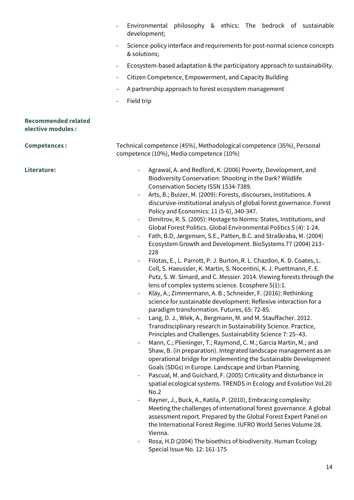|                                                  | Environmental philosophy & ethics: The bedrock of sustainable<br>development;                                                                                                                                                                                                                                                                                                                                                                                                                                                                                                                                                                                                                                                                                                                                                                                                                                                                                                                                                                                                                                                                                                                                                                                                                                                                                           |
|--------------------------------------------------|-------------------------------------------------------------------------------------------------------------------------------------------------------------------------------------------------------------------------------------------------------------------------------------------------------------------------------------------------------------------------------------------------------------------------------------------------------------------------------------------------------------------------------------------------------------------------------------------------------------------------------------------------------------------------------------------------------------------------------------------------------------------------------------------------------------------------------------------------------------------------------------------------------------------------------------------------------------------------------------------------------------------------------------------------------------------------------------------------------------------------------------------------------------------------------------------------------------------------------------------------------------------------------------------------------------------------------------------------------------------------|
|                                                  | Science-policy interface and requirements for post-normal science concepts<br>& solutions;                                                                                                                                                                                                                                                                                                                                                                                                                                                                                                                                                                                                                                                                                                                                                                                                                                                                                                                                                                                                                                                                                                                                                                                                                                                                              |
|                                                  | Ecosystem-based adaptation & the participatory approach to sustainability.<br>$\overline{\phantom{a}}$                                                                                                                                                                                                                                                                                                                                                                                                                                                                                                                                                                                                                                                                                                                                                                                                                                                                                                                                                                                                                                                                                                                                                                                                                                                                  |
|                                                  | Citizen Competence, Empowerment, and Capacity Building<br>$\overline{\phantom{a}}$                                                                                                                                                                                                                                                                                                                                                                                                                                                                                                                                                                                                                                                                                                                                                                                                                                                                                                                                                                                                                                                                                                                                                                                                                                                                                      |
|                                                  | A partnership approach to forest ecosystem management<br>$\overline{\phantom{a}}$                                                                                                                                                                                                                                                                                                                                                                                                                                                                                                                                                                                                                                                                                                                                                                                                                                                                                                                                                                                                                                                                                                                                                                                                                                                                                       |
|                                                  | Field trip<br>$\overline{\phantom{a}}$                                                                                                                                                                                                                                                                                                                                                                                                                                                                                                                                                                                                                                                                                                                                                                                                                                                                                                                                                                                                                                                                                                                                                                                                                                                                                                                                  |
| <b>Recommended related</b><br>elective modules : |                                                                                                                                                                                                                                                                                                                                                                                                                                                                                                                                                                                                                                                                                                                                                                                                                                                                                                                                                                                                                                                                                                                                                                                                                                                                                                                                                                         |
| <b>Competences:</b>                              | Technical competence (45%), Methodological competence (35%), Personal<br>competence (10%), Media competence (10%)                                                                                                                                                                                                                                                                                                                                                                                                                                                                                                                                                                                                                                                                                                                                                                                                                                                                                                                                                                                                                                                                                                                                                                                                                                                       |
| Literature:                                      | Agrawal, A. and Redford, K. (2006) Poverty, Development, and<br>$\qquad \qquad -$<br>Biodiversity Conservation: Shooting in the Dark? Wildlife<br>Conservation Society ISSN 1534-7389.<br>Arts, B.; Buizer, M. (2009): Forests, discourses, institutions. A<br>discursive-institutional analysis of global forest governance. Forest<br>Policy and Economics: 11 (5-6), 340-347.<br>Dimitrov, R. S. (2005): Hostage to Norms: States, Institutions, and<br>$\qquad \qquad -$<br>Global Forest Politics. Global Environmental Politics 5 (4): 1-24.<br>Fath, B.D, Jørgensen, S.E., Patten, B.C. and Straškraba, M. (2004)<br>$\qquad \qquad \blacksquare$<br>Ecosystem Growth and Development. BioSystems 77 (2004) 213-<br>228<br>Filotas, E., L. Parrott, P. J. Burton, R. L. Chazdon, K. D. Coates, L.<br>Coll, S. Haeussler, K. Martin, S. Nocentini, K. J. Puettmann, F. E.<br>Putz, S. W. Simard, and C. Messier. 2014. Viewing forests through the<br>lens of complex systems science. Ecosphere 5(1):1.<br>Kläy, A.; Zimmermann, A. B.; Schneider, F. (2016): Rethinking<br>science for sustainable development: Reflexive interaction for a<br>paradigm transformation. Futures, 65: 72-85.<br>Lang, D. J., Wiek, A., Bergmann, M. and M. Stauffacher. 2012.<br>$\qquad \qquad \blacksquare$<br>Transdisciplinary research in Sustainability Science. Practice, |

- Principles and Challenges. Sustainability Science 7: 25–43. - Mann, C.; Plieninger, T.; Raymond, C. M.; Garcia Martin, M.; and Shaw, B. (in preparation). Integrated landscape management as an operational bridge for implementing the Sustainable Development Goals (SDGs) in Europe. Landscape and Urban Planning.
- Pascual, M. and Guichard, F. (2005) Criticality and disturbance in spatial ecological systems. TRENDS in Ecology and Evolution Vol.20 No.2
- Rayner, J., Buck, A., Katila, P. (2010), Embracing complexity: Meeting the challenges of international forest governance. A global assessment report. Prepared by the Global Forest Expert Panel on the International Forest Regime. IUFRO World Series Volume 28. Vienna.
- Rosa, H.D (2004) The bioethics of biodiversity. Human Ecology Special Issue No. 12: 161-175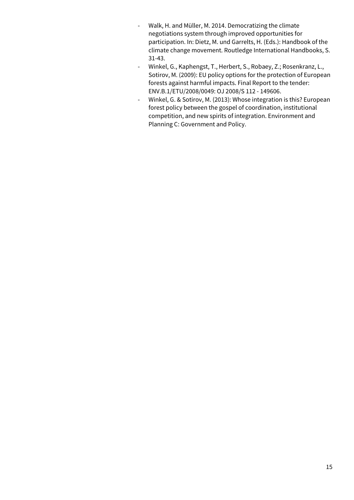- Walk, H. and Müller, M. 2014. Democratizing the climate negotiations system through improved opportunities for participation. In: Dietz, M. und Garrelts, H. (Eds.): Handbook of the climate change movement. Routledge International Handbooks, S. 31-43.
- Winkel, G., Kaphengst, T., Herbert, S., Robaey, Z.; Rosenkranz, L., Sotirov, M. (2009): EU policy options for the protection of European forests against harmful impacts. Final Report to the tender: ENV.B.1/ETU/2008/0049: OJ 2008/S 112 - 149606.
- Winkel, G. & Sotirov, M. (2013): Whose integration is this? European forest policy between the gospel of coordination, institutional competition, and new spirits of integration. Environment and Planning C: Government and Policy.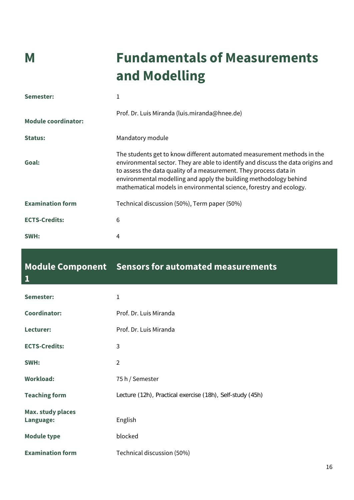# **M Fundamentals of Measurements and Modelling**

| Semester:                  | 1                                                                                                                                                                                                                                                                                                                                                                            |
|----------------------------|------------------------------------------------------------------------------------------------------------------------------------------------------------------------------------------------------------------------------------------------------------------------------------------------------------------------------------------------------------------------------|
| <b>Module coordinator:</b> | Prof. Dr. Luis Miranda (luis.miranda@hnee.de)                                                                                                                                                                                                                                                                                                                                |
| Status:                    | Mandatory module                                                                                                                                                                                                                                                                                                                                                             |
| Goal:                      | The students get to know different automated measurement methods in the<br>environmental sector. They are able to identify and discuss the data origins and<br>to assess the data quality of a measurement. They process data in<br>environmental modelling and apply the building methodology behind<br>mathematical models in environmental science, forestry and ecology. |
| <b>Examination form</b>    | Technical discussion (50%), Term paper (50%)                                                                                                                                                                                                                                                                                                                                 |
| <b>ECTS-Credits:</b>       | 6                                                                                                                                                                                                                                                                                                                                                                            |
| SWH:                       | 4                                                                                                                                                                                                                                                                                                                                                                            |

### **Module Component Sensors for automated measurements**

| ۹<br>٠ |     |  |
|--------|-----|--|
|        | ___ |  |

| Semester:                             | 1                                                         |
|---------------------------------------|-----------------------------------------------------------|
| <b>Coordinator:</b>                   | Prof. Dr. Luis Miranda                                    |
| Lecturer:                             | Prof. Dr. Luis Miranda                                    |
| <b>ECTS-Credits:</b>                  | 3                                                         |
| SWH:                                  | $\overline{2}$                                            |
| <b>Workload:</b>                      | 75 h / Semester                                           |
| <b>Teaching form</b>                  | Lecture (12h), Practical exercise (18h), Self-study (45h) |
| <b>Max. study places</b><br>Language: | English                                                   |
| <b>Module type</b>                    | blocked                                                   |
| <b>Examination form</b>               | Technical discussion (50%)                                |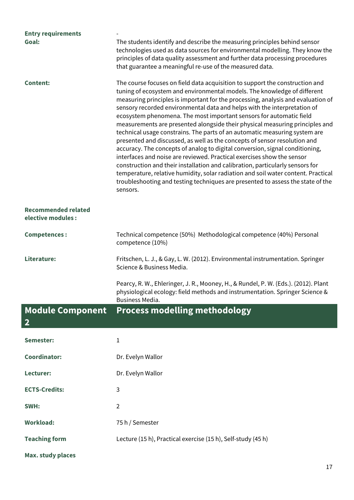| <b>Entry requirements</b><br>Goal:               | The students identify and describe the measuring principles behind sensor<br>technologies used as data sources for environmental modelling. They know the<br>principles of data quality assessment and further data processing procedures<br>that guarantee a meaningful re-use of the measured data.                                                                                                                                                                                                                                                                                                                                                                                                                                                                                                                                                                                                                                                                                                                                                                     |
|--------------------------------------------------|---------------------------------------------------------------------------------------------------------------------------------------------------------------------------------------------------------------------------------------------------------------------------------------------------------------------------------------------------------------------------------------------------------------------------------------------------------------------------------------------------------------------------------------------------------------------------------------------------------------------------------------------------------------------------------------------------------------------------------------------------------------------------------------------------------------------------------------------------------------------------------------------------------------------------------------------------------------------------------------------------------------------------------------------------------------------------|
| <b>Content:</b>                                  | The course focuses on field data acquisition to support the construction and<br>tuning of ecosystem and environmental models. The knowledge of different<br>measuring principles is important for the processing, analysis and evaluation of<br>sensory recorded environmental data and helps with the interpretation of<br>ecosystem phenomena. The most important sensors for automatic field<br>measurements are presented alongside their physical measuring principles and<br>technical usage constrains. The parts of an automatic measuring system are<br>presented and discussed, as well as the concepts of sensor resolution and<br>accuracy. The concepts of analog to digital conversion, signal conditioning,<br>interfaces and noise are reviewed. Practical exercises show the sensor<br>construction and their installation and calibration, particularly sensors for<br>temperature, relative humidity, solar radiation and soil water content. Practical<br>troubleshooting and testing techniques are presented to assess the state of the<br>sensors. |
| <b>Recommended related</b><br>elective modules : |                                                                                                                                                                                                                                                                                                                                                                                                                                                                                                                                                                                                                                                                                                                                                                                                                                                                                                                                                                                                                                                                           |
| <b>Competences:</b>                              | Technical competence (50%) Methodological competence (40%) Personal<br>competence (10%)                                                                                                                                                                                                                                                                                                                                                                                                                                                                                                                                                                                                                                                                                                                                                                                                                                                                                                                                                                                   |
| Literature:                                      | Fritschen, L. J., & Gay, L. W. (2012). Environmental instrumentation. Springer<br>Science & Business Media.                                                                                                                                                                                                                                                                                                                                                                                                                                                                                                                                                                                                                                                                                                                                                                                                                                                                                                                                                               |
|                                                  | Pearcy, R. W., Ehleringer, J. R., Mooney, H., & Rundel, P. W. (Eds.). (2012). Plant<br>physiological ecology: field methods and instrumentation. Springer Science &<br>Business Media.                                                                                                                                                                                                                                                                                                                                                                                                                                                                                                                                                                                                                                                                                                                                                                                                                                                                                    |
| <b>Module Component</b><br>$\mathbf{2}$          | <b>Process modelling methodology</b>                                                                                                                                                                                                                                                                                                                                                                                                                                                                                                                                                                                                                                                                                                                                                                                                                                                                                                                                                                                                                                      |
| Semester:                                        | 1                                                                                                                                                                                                                                                                                                                                                                                                                                                                                                                                                                                                                                                                                                                                                                                                                                                                                                                                                                                                                                                                         |
| <b>Coordinator:</b>                              | Dr. Evelyn Wallor                                                                                                                                                                                                                                                                                                                                                                                                                                                                                                                                                                                                                                                                                                                                                                                                                                                                                                                                                                                                                                                         |
| Lecturer:                                        | Dr. Evelyn Wallor                                                                                                                                                                                                                                                                                                                                                                                                                                                                                                                                                                                                                                                                                                                                                                                                                                                                                                                                                                                                                                                         |
| <b>ECTS-Credits:</b>                             | 3                                                                                                                                                                                                                                                                                                                                                                                                                                                                                                                                                                                                                                                                                                                                                                                                                                                                                                                                                                                                                                                                         |
| SWH:                                             | $\overline{2}$                                                                                                                                                                                                                                                                                                                                                                                                                                                                                                                                                                                                                                                                                                                                                                                                                                                                                                                                                                                                                                                            |
| <b>Workload:</b>                                 | 75 h / Semester                                                                                                                                                                                                                                                                                                                                                                                                                                                                                                                                                                                                                                                                                                                                                                                                                                                                                                                                                                                                                                                           |
| <b>Teaching form</b>                             | Lecture (15 h), Practical exercise (15 h), Self-study (45 h)                                                                                                                                                                                                                                                                                                                                                                                                                                                                                                                                                                                                                                                                                                                                                                                                                                                                                                                                                                                                              |
| <b>Max. study places</b>                         |                                                                                                                                                                                                                                                                                                                                                                                                                                                                                                                                                                                                                                                                                                                                                                                                                                                                                                                                                                                                                                                                           |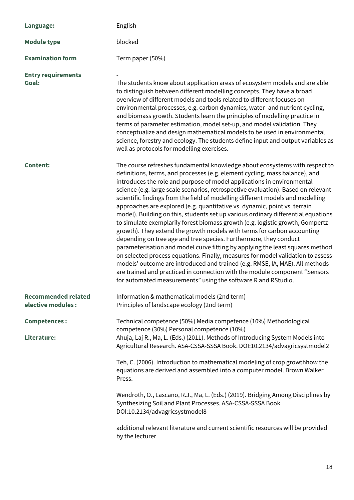| Language:                                        | English                                                                                                                                                                                                                                                                                                                                                                                                                                                                                                                                                                                                                                                                                                                                                                                                                                                                                                                                                                                                                                                                                                                                                                                                           |
|--------------------------------------------------|-------------------------------------------------------------------------------------------------------------------------------------------------------------------------------------------------------------------------------------------------------------------------------------------------------------------------------------------------------------------------------------------------------------------------------------------------------------------------------------------------------------------------------------------------------------------------------------------------------------------------------------------------------------------------------------------------------------------------------------------------------------------------------------------------------------------------------------------------------------------------------------------------------------------------------------------------------------------------------------------------------------------------------------------------------------------------------------------------------------------------------------------------------------------------------------------------------------------|
| <b>Module type</b>                               | blocked                                                                                                                                                                                                                                                                                                                                                                                                                                                                                                                                                                                                                                                                                                                                                                                                                                                                                                                                                                                                                                                                                                                                                                                                           |
| <b>Examination form</b>                          | Term paper (50%)                                                                                                                                                                                                                                                                                                                                                                                                                                                                                                                                                                                                                                                                                                                                                                                                                                                                                                                                                                                                                                                                                                                                                                                                  |
| <b>Entry requirements</b><br>Goal:               | The students know about application areas of ecosystem models and are able<br>to distinguish between different modelling concepts. They have a broad<br>overview of different models and tools related to different focuses on<br>environmental processes, e.g. carbon dynamics, water- and nutrient cycling,<br>and biomass growth. Students learn the principles of modelling practice in<br>terms of parameter estimation, model set-up, and model validation. They<br>conceptualize and design mathematical models to be used in environmental<br>science, forestry and ecology. The students define input and output variables as<br>well as protocols for modelling exercises.                                                                                                                                                                                                                                                                                                                                                                                                                                                                                                                              |
| <b>Content:</b>                                  | The course refreshes fundamental knowledge about ecosystems with respect to<br>definitions, terms, and processes (e.g. element cycling, mass balance), and<br>introduces the role and purpose of model applications in environmental<br>science (e.g. large scale scenarios, retrospective evaluation). Based on relevant<br>scientific findings from the field of modelling different models and modelling<br>approaches are explored (e.g. quantitative vs. dynamic, point vs. terrain<br>model). Building on this, students set up various ordinary differential equations<br>to simulate exemplarily forest biomass growth (e.g. logistic growth, Gompertz<br>growth). They extend the growth models with terms for carbon accounting<br>depending on tree age and tree species. Furthermore, they conduct<br>parameterisation and model curve fitting by applying the least squares method<br>on selected process equations. Finally, measures for model validation to assess<br>models' outcome are introduced and trained (e.g. RMSE, IA, MAE). All methods<br>are trained and practiced in connection with the module component "Sensors<br>for automated measurements" using the software R and RStudio. |
| <b>Recommended related</b><br>elective modules : | Information & mathematical models (2nd term)<br>Principles of landscape ecology (2nd term)                                                                                                                                                                                                                                                                                                                                                                                                                                                                                                                                                                                                                                                                                                                                                                                                                                                                                                                                                                                                                                                                                                                        |
| <b>Competences:</b><br>Literature:               | Technical competence (50%) Media competence (10%) Methodological<br>competence (30%) Personal competence (10%)<br>Ahuja, Laj R., Ma, L. (Eds.) (2011). Methods of Introducing System Models into<br>Agricultural Research. ASA-CSSA-SSSA Book. DOI:10.2134/advagricsystmodel2                                                                                                                                                                                                                                                                                                                                                                                                                                                                                                                                                                                                                                                                                                                                                                                                                                                                                                                                     |
|                                                  | Teh, C. (2006). Introduction to mathematical modeling of crop growthhow the<br>equations are derived and assembled into a computer model. Brown Walker<br>Press.                                                                                                                                                                                                                                                                                                                                                                                                                                                                                                                                                                                                                                                                                                                                                                                                                                                                                                                                                                                                                                                  |
|                                                  | Wendroth, O., Lascano, R.J., Ma, L. (Eds.) (2019). Bridging Among Disciplines by<br>Synthesizing Soil and Plant Processes. ASA-CSSA-SSSA Book.<br>DOI:10.2134/advagricsystmodel8                                                                                                                                                                                                                                                                                                                                                                                                                                                                                                                                                                                                                                                                                                                                                                                                                                                                                                                                                                                                                                  |
|                                                  | additional relevant literature and current scientific resources will be provided<br>by the lecturer                                                                                                                                                                                                                                                                                                                                                                                                                                                                                                                                                                                                                                                                                                                                                                                                                                                                                                                                                                                                                                                                                                               |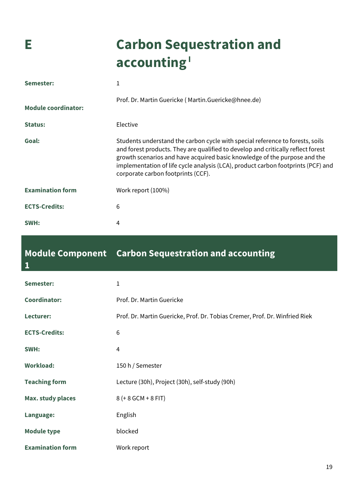# **E Carbon Sequestration and**  accounting<sup>1</sup>

| Semester:                  | 1                                                                                                                                                                                                                                                                                                                                                                        |
|----------------------------|--------------------------------------------------------------------------------------------------------------------------------------------------------------------------------------------------------------------------------------------------------------------------------------------------------------------------------------------------------------------------|
| <b>Module coordinator:</b> | Prof. Dr. Martin Guericke (Martin.Guericke@hnee.de)                                                                                                                                                                                                                                                                                                                      |
| <b>Status:</b>             | Elective                                                                                                                                                                                                                                                                                                                                                                 |
| Goal:                      | Students understand the carbon cycle with special reference to forests, soils<br>and forest products. They are qualified to develop and critically reflect forest<br>growth scenarios and have acquired basic knowledge of the purpose and the<br>implementation of life cycle analysis (LCA), product carbon footprints (PCF) and<br>corporate carbon footprints (CCF). |
| <b>Examination form</b>    | Work report (100%)                                                                                                                                                                                                                                                                                                                                                       |
| <b>ECTS-Credits:</b>       | 6                                                                                                                                                                                                                                                                                                                                                                        |
| SWH:                       | 4                                                                                                                                                                                                                                                                                                                                                                        |

### **Module Component Carbon Sequestration and accounting**

| $\mathbf{1}$             |                                                                             |
|--------------------------|-----------------------------------------------------------------------------|
| Semester:                | 1                                                                           |
| <b>Coordinator:</b>      | Prof. Dr. Martin Guericke                                                   |
| Lecturer:                | Prof. Dr. Martin Guericke, Prof. Dr. Tobias Cremer, Prof. Dr. Winfried Riek |
| <b>ECTS-Credits:</b>     | 6                                                                           |
| SWH:                     | 4                                                                           |
| <b>Workload:</b>         | 150 h / Semester                                                            |
| <b>Teaching form</b>     | Lecture (30h), Project (30h), self-study (90h)                              |
| <b>Max. study places</b> | 8 (+ 8 GCM + 8 FIT)                                                         |
| Language:                | English                                                                     |
| <b>Module type</b>       | blocked                                                                     |
| <b>Examination form</b>  | Work report                                                                 |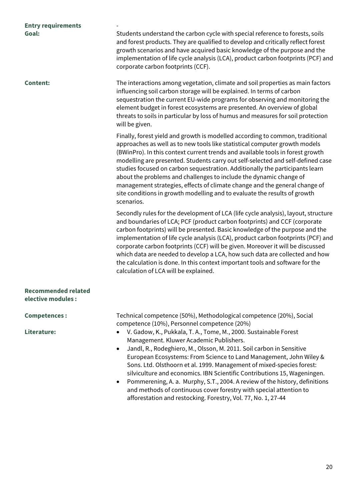| <b>Entry requirements</b>                        |                                                                                                                                                                                                                                                                                                                                                                                                                                                                                                                                                                                                                                                                 |
|--------------------------------------------------|-----------------------------------------------------------------------------------------------------------------------------------------------------------------------------------------------------------------------------------------------------------------------------------------------------------------------------------------------------------------------------------------------------------------------------------------------------------------------------------------------------------------------------------------------------------------------------------------------------------------------------------------------------------------|
| Goal:                                            | Students understand the carbon cycle with special reference to forests, soils<br>and forest products. They are qualified to develop and critically reflect forest<br>growth scenarios and have acquired basic knowledge of the purpose and the<br>implementation of life cycle analysis (LCA), product carbon footprints (PCF) and<br>corporate carbon footprints (CCF).                                                                                                                                                                                                                                                                                        |
| <b>Content:</b>                                  | The interactions among vegetation, climate and soil properties as main factors<br>influencing soil carbon storage will be explained. In terms of carbon<br>sequestration the current EU-wide programs for observing and monitoring the<br>element budget in forest ecosystems are presented. An overview of global<br>threats to soils in particular by loss of humus and measures for soil protection<br>will be given.                                                                                                                                                                                                                                        |
|                                                  | Finally, forest yield and growth is modelled according to common, traditional<br>approaches as well as to new tools like statistical computer growth models<br>(BWinPro). In this context current trends and available tools in forest growth<br>modelling are presented. Students carry out self-selected and self-defined case<br>studies focused on carbon sequestration. Additionally the participants learn<br>about the problems and challenges to include the dynamic change of<br>management strategies, effects of climate change and the general change of<br>site conditions in growth modelling and to evaluate the results of growth<br>scenarios. |
|                                                  | Secondly rules for the development of LCA (life cycle analysis), layout, structure<br>and boundaries of LCA; PCF (product carbon footprints) and CCF (corporate<br>carbon footprints) will be presented. Basic knowledge of the purpose and the<br>implementation of life cycle analysis (LCA), product carbon footprints (PCF) and<br>corporate carbon footprints (CCF) will be given. Moreover it will be discussed<br>which data are needed to develop a LCA, how such data are collected and how<br>the calculation is done. In this context important tools and software for the<br>calculation of LCA will be explained.                                  |
| <b>Recommended related</b><br>elective modules : |                                                                                                                                                                                                                                                                                                                                                                                                                                                                                                                                                                                                                                                                 |
| <b>Competences:</b>                              | Technical competence (50%), Methodological competence (20%), Social<br>competence (10%), Personnel competence (20%)                                                                                                                                                                                                                                                                                                                                                                                                                                                                                                                                             |
| Literature:                                      | V. Gadow, K., Pukkala, T. A., Tome, M., 2000. Sustainable Forest<br>Management. Kluwer Academic Publishers.<br>Jandl, R., Rodeghiero, M., Olsson, M. 2011. Soil carbon in Sensitive<br>$\bullet$<br>European Ecosystems: From Science to Land Management, John Wiley &<br>Sons. Ltd. Olsthoorn et al. 1999. Management of mixed-species forest:<br>silviculture and economics. IBN Scientific Contributions 15, Wageningen.                                                                                                                                                                                                                                     |

• Pommerening, A. a. Murphy, S.T., 2004. A review of the history, definitions and methods of continuous cover forestry with special attention to afforestation and restocking. Forestry, Vol. 77, No. 1, 27-44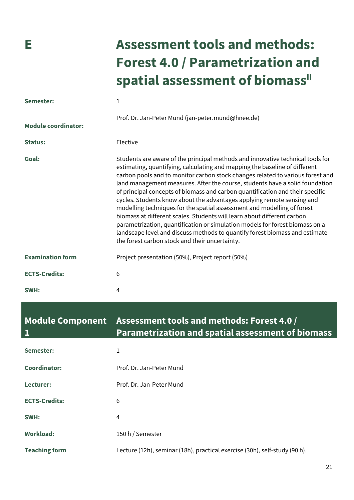# **E Assessment tools and methods: Forest 4.0 / Parametrization and**  spatial assessment of biomass<sup>"</sup>

| Semester:                  | $\mathbf{1}$                                                                                                                                                                                                                                                                                                                                                                                                                                                                                                                                                                                                                                                                                                                                                                                                                                                     |
|----------------------------|------------------------------------------------------------------------------------------------------------------------------------------------------------------------------------------------------------------------------------------------------------------------------------------------------------------------------------------------------------------------------------------------------------------------------------------------------------------------------------------------------------------------------------------------------------------------------------------------------------------------------------------------------------------------------------------------------------------------------------------------------------------------------------------------------------------------------------------------------------------|
| <b>Module coordinator:</b> | Prof. Dr. Jan-Peter Mund (jan-peter.mund@hnee.de)                                                                                                                                                                                                                                                                                                                                                                                                                                                                                                                                                                                                                                                                                                                                                                                                                |
| <b>Status:</b>             | Elective                                                                                                                                                                                                                                                                                                                                                                                                                                                                                                                                                                                                                                                                                                                                                                                                                                                         |
| Goal:                      | Students are aware of the principal methods and innovative technical tools for<br>estimating, quantifying, calculating and mapping the baseline of different<br>carbon pools and to monitor carbon stock changes related to various forest and<br>land management measures. After the course, students have a solid foundation<br>of principal concepts of biomass and carbon quantification and their specific<br>cycles. Students know about the advantages applying remote sensing and<br>modelling techniques for the spatial assessment and modelling of forest<br>biomass at different scales. Students will learn about different carbon<br>parametrization, quantification or simulation models for forest biomass on a<br>landscape level and discuss methods to quantify forest biomass and estimate<br>the forest carbon stock and their uncertainty. |
| <b>Examination form</b>    | Project presentation (50%), Project report (50%)                                                                                                                                                                                                                                                                                                                                                                                                                                                                                                                                                                                                                                                                                                                                                                                                                 |
| <b>ECTS-Credits:</b>       | 6                                                                                                                                                                                                                                                                                                                                                                                                                                                                                                                                                                                                                                                                                                                                                                                                                                                                |
| SWH:                       | 4                                                                                                                                                                                                                                                                                                                                                                                                                                                                                                                                                                                                                                                                                                                                                                                                                                                                |

| <b>Module Component</b><br>1 | Assessment tools and methods: Forest 4.0 /<br><b>Parametrization and spatial assessment of biomass</b> |
|------------------------------|--------------------------------------------------------------------------------------------------------|
| Semester:                    | 1                                                                                                      |
| Coordinator:                 | Prof. Dr. Jan-Peter Mund                                                                               |
| Lecturer:                    | Prof. Dr. Jan-Peter Mund                                                                               |
| <b>ECTS-Credits:</b>         | 6                                                                                                      |
| SWH:                         | 4                                                                                                      |
| <b>Workload:</b>             | 150 h / Semester                                                                                       |
| <b>Teaching form</b>         | Lecture (12h), seminar (18h), practical exercise (30h), self-study (90 h).                             |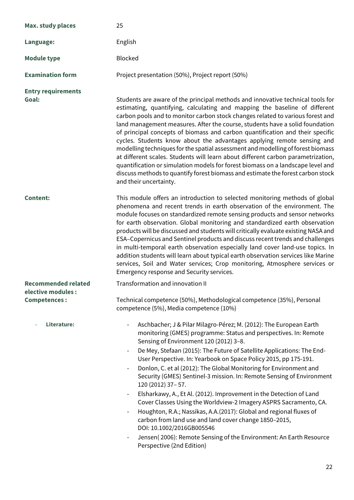| <b>Max. study places</b>                  | 25                                                                                                                                                                                                                                                                                                                                                                                                                                                                                                                                                                                                                                                                                                                                                                                                                                                                                                                                           |
|-------------------------------------------|----------------------------------------------------------------------------------------------------------------------------------------------------------------------------------------------------------------------------------------------------------------------------------------------------------------------------------------------------------------------------------------------------------------------------------------------------------------------------------------------------------------------------------------------------------------------------------------------------------------------------------------------------------------------------------------------------------------------------------------------------------------------------------------------------------------------------------------------------------------------------------------------------------------------------------------------|
| Language:                                 | English                                                                                                                                                                                                                                                                                                                                                                                                                                                                                                                                                                                                                                                                                                                                                                                                                                                                                                                                      |
| <b>Module type</b>                        | <b>Blocked</b>                                                                                                                                                                                                                                                                                                                                                                                                                                                                                                                                                                                                                                                                                                                                                                                                                                                                                                                               |
| <b>Examination form</b>                   | Project presentation (50%), Project report (50%)                                                                                                                                                                                                                                                                                                                                                                                                                                                                                                                                                                                                                                                                                                                                                                                                                                                                                             |
| <b>Entry requirements</b><br>Goal:        | Students are aware of the principal methods and innovative technical tools for<br>estimating, quantifying, calculating and mapping the baseline of different<br>carbon pools and to monitor carbon stock changes related to various forest and<br>land management measures. After the course, students have a solid foundation<br>of principal concepts of biomass and carbon quantification and their specific<br>cycles. Students know about the advantages applying remote sensing and<br>modelling techniques for the spatial assessment and modelling of forest biomass<br>at different scales. Students will learn about different carbon parametrization,<br>quantification or simulation models for forest biomass on a landscape level and<br>discuss methods to quantify forest biomass and estimate the forest carbon stock<br>and their uncertainty.                                                                             |
| <b>Content:</b>                           | This module offers an introduction to selected monitoring methods of global<br>phenomena and recent trends in earth observation of the environment. The<br>module focuses on standardized remote sensing products and sensor networks<br>for earth observation. Global monitoring and standardized earth observation<br>products will be discussed and students will critically evaluate existing NASA and<br>ESA-Copernicus and Sentinel products and discuss recent trends and challenges<br>in multi-temporal earth observation especially land cover land-use topics. In<br>addition students will learn about typical earth observation services like Marine<br>services, Soil and Water services; Crop monitoring, Atmosphere services or<br>Emergency response and Security services.                                                                                                                                                 |
| Recommended related<br>elective modules : | Transformation and innovation II                                                                                                                                                                                                                                                                                                                                                                                                                                                                                                                                                                                                                                                                                                                                                                                                                                                                                                             |
| <b>Competences:</b>                       | Technical competence (50%), Methodological competence (35%), Personal<br>competence (5%), Media competence (10%)                                                                                                                                                                                                                                                                                                                                                                                                                                                                                                                                                                                                                                                                                                                                                                                                                             |
| Literature:                               | Aschbacher; J & Pilar Milagro-Pérez; M. (2012): The European Earth<br>monitoring (GMES) programme: Status and perspectives. In: Remote<br>Sensing of Environment 120 (2012) 3-8.<br>De Mey, Stefaan (2015): The Future of Satellite Applications: The End-<br>$\overline{\phantom{a}}$<br>User Perspective. In: Yearbook on Space Policy 2015, pp 175-191.<br>Donlon, C. et al (2012): The Global Monitoring for Environment and<br>Security (GMES) Sentinel-3 mission. In: Remote Sensing of Environment<br>120 (2012) 37 - 57.<br>Elsharkawy, A., Et Al. (2012). Improvement in the Detection of Land<br>Cover Classes Using the Worldview-2 Imagery ASPRS Sacramento, CA.<br>Houghton, R.A.; Nassikas, A.A.(2017): Global and regional fluxes of<br>carbon from land use and land cover change 1850-2015,<br>DOI: 10.1002/2016GB005546<br>Jensen(2006): Remote Sensing of the Environment: An Earth Resource<br>Perspective (2nd Edition) |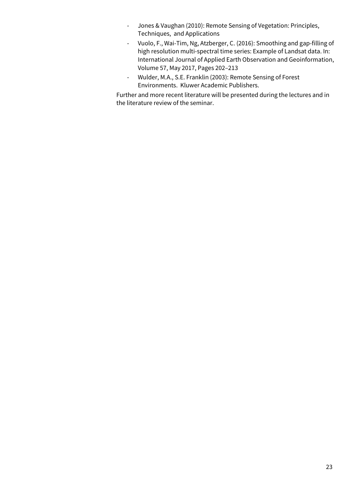- Jones & Vaughan (2010): Remote Sensing of Vegetation: Principles, Techniques, and Applications
- Vuolo, F., Wai-Tim, Ng, Atzberger, C. (2016): Smoothing and gap-filling of high resolution multi-spectral time series: Example of Landsat data. In: International Journal of Applied Earth Observation and Geoinformation, Volume 57, May 2017, Pages 202–213
- Wulder, M.A., S.E. Franklin (2003): Remote Sensing of Forest Environments. Kluwer Academic Publishers.

Further and more recent literature will be presented during the lectures and in the literature review of the seminar.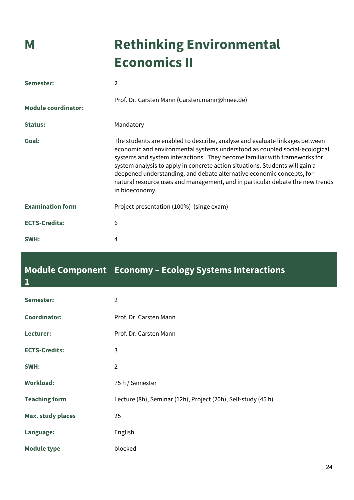# **M Rethinking Environmental Economics II**

| Semester:                  | 2                                                                                                                                                                                                                                                                                                                                                                                                                                                                                                  |
|----------------------------|----------------------------------------------------------------------------------------------------------------------------------------------------------------------------------------------------------------------------------------------------------------------------------------------------------------------------------------------------------------------------------------------------------------------------------------------------------------------------------------------------|
| <b>Module coordinator:</b> | Prof. Dr. Carsten Mann (Carsten.mann@hnee.de)                                                                                                                                                                                                                                                                                                                                                                                                                                                      |
| <b>Status:</b>             | Mandatory                                                                                                                                                                                                                                                                                                                                                                                                                                                                                          |
| Goal:                      | The students are enabled to describe, analyse and evaluate linkages between<br>economic and environmental systems understood as coupled social-ecological<br>systems and system interactions. They become familiar with frameworks for<br>system analysis to apply in concrete action situations. Students will gain a<br>deepened understanding, and debate alternative economic concepts, for<br>natural resource uses and management, and in particular debate the new trends<br>in bioeconomy. |
| <b>Examination form</b>    | Project presentation (100%) (singe exam)                                                                                                                                                                                                                                                                                                                                                                                                                                                           |
| <b>ECTS-Credits:</b>       | 6                                                                                                                                                                                                                                                                                                                                                                                                                                                                                                  |
| SWH:                       | 4                                                                                                                                                                                                                                                                                                                                                                                                                                                                                                  |

#### **Module Component Economy – Ecology Systems Interactions 1**

| Semester:                | 2                                                             |
|--------------------------|---------------------------------------------------------------|
| <b>Coordinator:</b>      | Prof. Dr. Carsten Mann                                        |
| Lecturer:                | Prof. Dr. Carsten Mann                                        |
| <b>ECTS-Credits:</b>     | 3                                                             |
| SWH:                     | 2                                                             |
| <b>Workload:</b>         | 75 h / Semester                                               |
| <b>Teaching form</b>     | Lecture (8h), Seminar (12h), Project (20h), Self-study (45 h) |
| <b>Max. study places</b> | 25                                                            |
| Language:                | English                                                       |
| <b>Module type</b>       | blocked                                                       |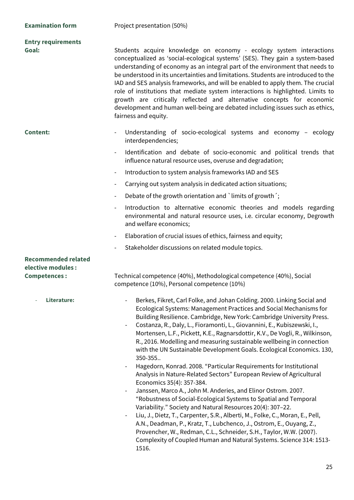| <b>Examination form</b>                                                 | Project presentation (50%)                                                                                                                                                                                                                                                                                                                                                                                                                                                                                                                                                                                                                                                                                                                                                                                                                                                                                                                                                                                     |
|-------------------------------------------------------------------------|----------------------------------------------------------------------------------------------------------------------------------------------------------------------------------------------------------------------------------------------------------------------------------------------------------------------------------------------------------------------------------------------------------------------------------------------------------------------------------------------------------------------------------------------------------------------------------------------------------------------------------------------------------------------------------------------------------------------------------------------------------------------------------------------------------------------------------------------------------------------------------------------------------------------------------------------------------------------------------------------------------------|
| <b>Entry requirements</b><br>Goal:                                      | Students acquire knowledge on economy - ecology system interactions<br>conceptualized as 'social-ecological systems' (SES). They gain a system-based<br>understanding of economy as an integral part of the environment that needs to<br>be understood in its uncertainties and limitations. Students are introduced to the<br>IAD and SES analysis frameworks, and will be enabled to apply them. The crucial<br>role of institutions that mediate system interactions is highlighted. Limits to<br>growth are critically reflected and alternative concepts for economic<br>development and human well-being are debated including issues such as ethics,<br>fairness and equity.                                                                                                                                                                                                                                                                                                                            |
| <b>Content:</b>                                                         | Understanding of socio-ecological systems and economy - ecology<br>interdependencies;<br>Identification and debate of socio-economic and political trends that                                                                                                                                                                                                                                                                                                                                                                                                                                                                                                                                                                                                                                                                                                                                                                                                                                                 |
|                                                                         | influence natural resource uses, overuse and degradation;                                                                                                                                                                                                                                                                                                                                                                                                                                                                                                                                                                                                                                                                                                                                                                                                                                                                                                                                                      |
|                                                                         | Introduction to system analysis frameworks IAD and SES<br>$\overline{\phantom{a}}$                                                                                                                                                                                                                                                                                                                                                                                                                                                                                                                                                                                                                                                                                                                                                                                                                                                                                                                             |
|                                                                         | Carrying out system analysis in dedicated action situations;<br>$\overline{\phantom{a}}$                                                                                                                                                                                                                                                                                                                                                                                                                                                                                                                                                                                                                                                                                                                                                                                                                                                                                                                       |
|                                                                         | Debate of the growth orientation and `limits of growth';<br>$\overline{\phantom{a}}$                                                                                                                                                                                                                                                                                                                                                                                                                                                                                                                                                                                                                                                                                                                                                                                                                                                                                                                           |
|                                                                         | Introduction to alternative economic theories and models regarding<br>$\overline{\phantom{a}}$<br>environmental and natural resource uses, i.e. circular economy, Degrowth<br>and welfare economics;                                                                                                                                                                                                                                                                                                                                                                                                                                                                                                                                                                                                                                                                                                                                                                                                           |
|                                                                         | Elaboration of crucial issues of ethics, fairness and equity;<br>$\overline{\phantom{a}}$                                                                                                                                                                                                                                                                                                                                                                                                                                                                                                                                                                                                                                                                                                                                                                                                                                                                                                                      |
|                                                                         | Stakeholder discussions on related module topics.<br>$\overline{\phantom{a}}$                                                                                                                                                                                                                                                                                                                                                                                                                                                                                                                                                                                                                                                                                                                                                                                                                                                                                                                                  |
| <b>Recommended related</b><br>elective modules :<br><b>Competences:</b> | Technical competence (40%), Methodological competence (40%), Social<br>competence (10%), Personal competence (10%)                                                                                                                                                                                                                                                                                                                                                                                                                                                                                                                                                                                                                                                                                                                                                                                                                                                                                             |
| Literature:                                                             | Berkes, Fikret, Carl Folke, and Johan Colding. 2000. Linking Social and<br>Ecological Systems: Management Practices and Social Mechanisms for<br>Building Resilience. Cambridge, New York: Cambridge University Press.<br>Costanza, R., Daly, L., Fioramonti, L., Giovannini, E., Kubiszewski, I.,<br>Mortensen, L.F., Pickett, K.E., Ragnarsdottir, K.V., De Vogli, R., Wilkinson,<br>R., 2016. Modelling and measuring sustainable wellbeing in connection<br>with the UN Sustainable Development Goals. Ecological Economics. 130,<br>350-355<br>Hagedorn, Konrad. 2008. "Particular Requirements for Institutional<br>Analysis in Nature-Related Sectors" European Review of Agricultural<br>Economics 35(4): 357-384.<br>Janssen, Marco A., John M. Anderies, and Elinor Ostrom. 2007.<br>"Robustness of Social-Ecological Systems to Spatial and Temporal<br>Variability." Society and Natural Resources 20(4): 307-22.<br>Liu, J., Dietz, T., Carpenter, S.R., Alberti, M., Folke, C., Moran, E., Pell, |

- Liu, J., Dietz, T., Carpenter, S.R., Alberti, M., Folke, C., Moran, E., Pell, A.N., Deadman, P., Kratz, T., Lubchenco, J., Ostrom, E., Ouyang, Z., Provencher, W., Redman, C.L., Schneider, S.H., Taylor, W.W. (2007). Complexity of Coupled Human and Natural Systems. Science 314: 1513- 1516.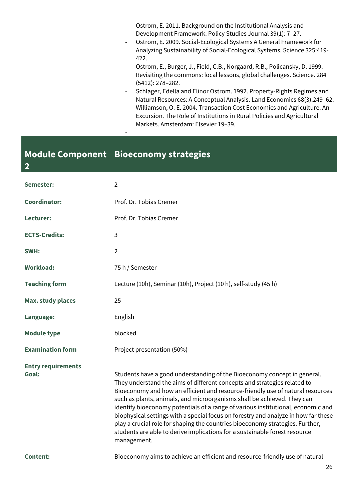- Ostrom, E. 2011. Background on the Institutional Analysis and Development Framework. Policy Studies Journal 39(1): 7–27.
- Ostrom, E. 2009. Social-Ecological Systems A General Framework for Analyzing Sustainability of Social-Ecological Systems. Science 325:419- 422.
- Ostrom, E., Burger, J., Field, C.B., Norgaard, R.B., Policansky, D. 1999. Revisiting the commons: local lessons, global challenges. Science. 284 (5412): 278–282.
- Schlager, Edella and Elinor Ostrom. 1992. Property-Rights Regimes and Natural Resources: A Conceptual Analysis. Land Economics 68(3):249–62.
- Williamson, O. E. 2004. Transaction Cost Economics and Agriculture: An Excursion. The Role of Institutions in Rural Policies and Agricultural Markets. Amsterdam: Elsevier 19–39.

### **Module Component Bioeconomy strategies**

**2**

-

| Semester:                          | $\overline{2}$                                                                                                                                                                                                                                                                                                                                                                                                                                                                                                                                                                                                                                                            |
|------------------------------------|---------------------------------------------------------------------------------------------------------------------------------------------------------------------------------------------------------------------------------------------------------------------------------------------------------------------------------------------------------------------------------------------------------------------------------------------------------------------------------------------------------------------------------------------------------------------------------------------------------------------------------------------------------------------------|
| <b>Coordinator:</b>                | Prof. Dr. Tobias Cremer                                                                                                                                                                                                                                                                                                                                                                                                                                                                                                                                                                                                                                                   |
| Lecturer:                          | Prof. Dr. Tobias Cremer                                                                                                                                                                                                                                                                                                                                                                                                                                                                                                                                                                                                                                                   |
| <b>ECTS-Credits:</b>               | 3                                                                                                                                                                                                                                                                                                                                                                                                                                                                                                                                                                                                                                                                         |
| SWH:                               | $\overline{2}$                                                                                                                                                                                                                                                                                                                                                                                                                                                                                                                                                                                                                                                            |
| <b>Workload:</b>                   | 75 h / Semester                                                                                                                                                                                                                                                                                                                                                                                                                                                                                                                                                                                                                                                           |
| <b>Teaching form</b>               | Lecture (10h), Seminar (10h), Project (10 h), self-study (45 h)                                                                                                                                                                                                                                                                                                                                                                                                                                                                                                                                                                                                           |
| <b>Max. study places</b>           | 25                                                                                                                                                                                                                                                                                                                                                                                                                                                                                                                                                                                                                                                                        |
| Language:                          | English                                                                                                                                                                                                                                                                                                                                                                                                                                                                                                                                                                                                                                                                   |
| <b>Module type</b>                 | blocked                                                                                                                                                                                                                                                                                                                                                                                                                                                                                                                                                                                                                                                                   |
| <b>Examination form</b>            | Project presentation (50%)                                                                                                                                                                                                                                                                                                                                                                                                                                                                                                                                                                                                                                                |
| <b>Entry requirements</b><br>Goal: | Students have a good understanding of the Bioeconomy concept in general.<br>They understand the aims of different concepts and strategies related to<br>Bioeconomy and how an efficient and resource-friendly use of natural resources<br>such as plants, animals, and microorganisms shall be achieved. They can<br>identify bioeconomy potentials of a range of various institutional, economic and<br>biophysical settings with a special focus on forestry and analyze in how far these<br>play a crucial role for shaping the countries bioeconomy strategies. Further,<br>students are able to derive implications for a sustainable forest resource<br>management. |
| <b>Content:</b>                    | Bioeconomy aims to achieve an efficient and resource-friendly use of natural                                                                                                                                                                                                                                                                                                                                                                                                                                                                                                                                                                                              |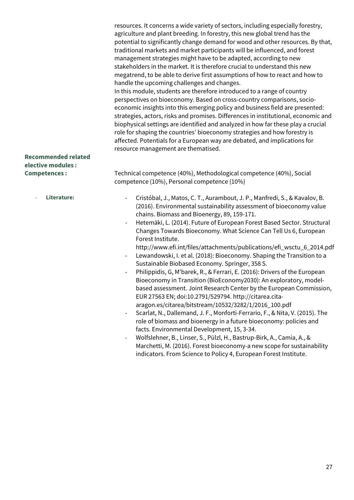resources. It concerns a wide variety of sectors, including especially forestry, agriculture and plant breeding. In forestry, this new global trend has the potential to significantly change demand for wood and other resources. By that, traditional markets and market participants will be influenced, and forest management strategies might have to be adapted, according to new stakeholders in the market. It is therefore crucial to understand this new megatrend, to be able to derive first assumptions of how to react and how to handle the upcoming challenges and changes.

In this module, students are therefore introduced to a range of country perspectives on bioeconomy. Based on cross-country comparisons, socioeconomic insights into this emerging policy and business field are presented: strategies, actors, risks and promises. Differences in institutional, economic and biophysical settings are identified and analyzed in how far these play a crucial role for shaping the countries' bioeconomy strategies and how forestry is affected. Potentials for a European way are debated, and implications for resource management are thematised.

### **Recommended related elective modules :**

- **Competences :** Technical competence (40%), Methodological competence (40%), Social competence (10%), Personal competence (10%)
	- **Literature:** Cristóbal, J., Matos, C. T., Aurambout, J. P., Manfredi, S., & Kavalov, B. (2016). Environmental sustainability assessment of bioeconomy value chains. Biomass and Bioenergy, 89, 159-171.
		- Hetemäki, L. (2014). Future of European Forest Based Sector. Structural Changes Towards Bioeconomy. What Science Can Tell Us 6, European Forest Institute.

[http://www.efi.int/files/attachments/publications/efi\\_wsctu\\_6\\_2014.pdf](http://www.efi.int/files/attachments/publications/efi_wsctu_6_2014.pdf)

- Lewandowski, I. et al. (2018): Bioeconomy. Shaping the Transition to a Sustainable Biobased Economy. Springer, 358 S.
- Philippidis, G, M'barek, R., & Ferrari, E. (2016): Drivers of the European Bioeconomy in Transition (BioEconomy2030): An exploratory, modelbased assessment. Joint Research Center by the European Commission, EUR 27563 EN; doi:10.2791/529794. [http://citarea.cita](http://citarea.cita-aragon.es/citarea/bitstream/10532/3282/1/2016_100.pdf)[aragon.es/citarea/bitstream/10532/3282/1/2016\\_100.pdf](http://citarea.cita-aragon.es/citarea/bitstream/10532/3282/1/2016_100.pdf)
- Scarlat, N., Dallemand, J. F., Monforti-Ferrario, F., & Nita, V. (2015). The role of biomass and bioenergy in a future bioeconomy: policies and facts. Environmental Development, 15, 3-34.
- Wolfslehner, B., Linser, S., Pülzl, H., Bastrup-Birk, A., Camia, A., & Marchetti, M. (2016). Forest bioeconomy-a new scope for sustainability indicators. From Science to Policy 4, European Forest Institute.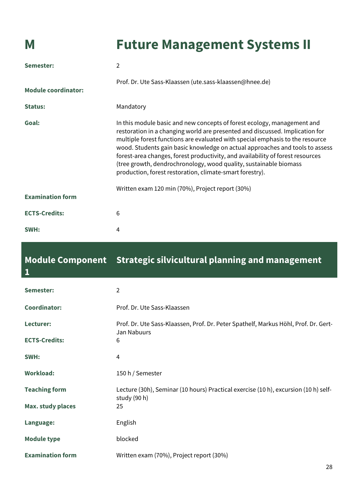## **M Future Management Systems II**

| Semester:                  | 2                                                                                                                                                                                                                                                                                                                                                                                                                                                                                                                                           |
|----------------------------|---------------------------------------------------------------------------------------------------------------------------------------------------------------------------------------------------------------------------------------------------------------------------------------------------------------------------------------------------------------------------------------------------------------------------------------------------------------------------------------------------------------------------------------------|
| <b>Module coordinator:</b> | Prof. Dr. Ute Sass-Klaassen (ute.sass-klaassen@hnee.de)                                                                                                                                                                                                                                                                                                                                                                                                                                                                                     |
| Status:                    | Mandatory                                                                                                                                                                                                                                                                                                                                                                                                                                                                                                                                   |
| Goal:                      | In this module basic and new concepts of forest ecology, management and<br>restoration in a changing world are presented and discussed. Implication for<br>multiple forest functions are evaluated with special emphasis to the resource<br>wood. Students gain basic knowledge on actual approaches and tools to assess<br>forest-area changes, forest productivity, and availability of forest resources<br>(tree growth, dendrochronology, wood quality, sustainable biomass<br>production, forest restoration, climate-smart forestry). |
| <b>Examination form</b>    | Written exam 120 min (70%), Project report (30%)                                                                                                                                                                                                                                                                                                                                                                                                                                                                                            |
| <b>ECTS-Credits:</b>       | 6                                                                                                                                                                                                                                                                                                                                                                                                                                                                                                                                           |
| SWH:                       | 4                                                                                                                                                                                                                                                                                                                                                                                                                                                                                                                                           |

### **Module Component Strategic silvicultural planning and management 1**

| Semester:                | $\overline{2}$                                                                                     |
|--------------------------|----------------------------------------------------------------------------------------------------|
| <b>Coordinator:</b>      | Prof. Dr. Ute Sass-Klaassen                                                                        |
| Lecturer:                | Prof. Dr. Ute Sass-Klaassen, Prof. Dr. Peter Spathelf, Markus Höhl, Prof. Dr. Gert-<br>Jan Nabuurs |
| <b>ECTS-Credits:</b>     | 6                                                                                                  |
| SWH:                     | 4                                                                                                  |
| <b>Workload:</b>         | 150 h / Semester                                                                                   |
| <b>Teaching form</b>     | Lecture (30h), Seminar (10 hours) Practical exercise (10 h), excursion (10 h) self-                |
| <b>Max. study places</b> | study (90 h)<br>25                                                                                 |
| Language:                | English                                                                                            |
| <b>Module type</b>       | blocked                                                                                            |
| <b>Examination form</b>  | Written exam (70%), Project report (30%)                                                           |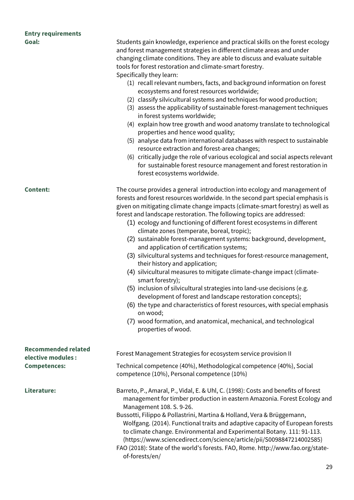## **Entry requirements**

| ETIG Y TCQUITCHICHC<br>Goal:                    | Students gain knowledge, experience and practical skills on the forest ecology<br>and forest management strategies in different climate areas and under<br>changing climate conditions. They are able to discuss and evaluate suitable<br>tools for forest restoration and climate-smart forestry.<br>Specifically they learn:<br>(1) recall relevant numbers, facts, and background information on forest<br>ecosystems and forest resources worldwide;<br>(2) classify silvicultural systems and techniques for wood production;<br>(3) assess the applicability of sustainable forest-management techniques<br>in forest systems worldwide;<br>(4) explain how tree growth and wood anatomy translate to technological<br>properties and hence wood quality;<br>(5) analyse data from international databases with respect to sustainable<br>resource extraction and forest-area changes;<br>(6) critically judge the role of various ecological and social aspects relevant<br>for sustainable forest resource management and forest restoration in                                                         |
|-------------------------------------------------|-----------------------------------------------------------------------------------------------------------------------------------------------------------------------------------------------------------------------------------------------------------------------------------------------------------------------------------------------------------------------------------------------------------------------------------------------------------------------------------------------------------------------------------------------------------------------------------------------------------------------------------------------------------------------------------------------------------------------------------------------------------------------------------------------------------------------------------------------------------------------------------------------------------------------------------------------------------------------------------------------------------------------------------------------------------------------------------------------------------------|
|                                                 | forest ecosystems worldwide.                                                                                                                                                                                                                                                                                                                                                                                                                                                                                                                                                                                                                                                                                                                                                                                                                                                                                                                                                                                                                                                                                    |
| <b>Content:</b>                                 | The course provides a general introduction into ecology and management of<br>forests and forest resources worldwide. In the second part special emphasis is<br>given on mitigating climate change impacts (climate-smart forestry) as well as<br>forest and landscape restoration. The following topics are addressed:<br>(1) ecology and functioning of different forest ecosystems in different<br>climate zones (temperate, boreal, tropic);<br>(2) sustainable forest-management systems: background, development,<br>and application of certification systems;<br>(3) silvicultural systems and techniques for forest-resource management,<br>their history and application;<br>(4) silvicultural measures to mitigate climate-change impact (climate-<br>smart forestry);<br>(5) inclusion of silvicultural strategies into land-use decisions (e.g.<br>development of forest and landscape restoration concepts);<br>(6) the type and characteristics of forest resources, with special emphasis<br>on wood;<br>(7) wood formation, and anatomical, mechanical, and technological<br>properties of wood. |
| <b>Recommended related</b><br>elective modules: | Forest Management Strategies for ecosystem service provision II                                                                                                                                                                                                                                                                                                                                                                                                                                                                                                                                                                                                                                                                                                                                                                                                                                                                                                                                                                                                                                                 |
| <b>Competences:</b>                             | Technical competence (40%), Methodological competence (40%), Social<br>competence (10%), Personal competence (10%)                                                                                                                                                                                                                                                                                                                                                                                                                                                                                                                                                                                                                                                                                                                                                                                                                                                                                                                                                                                              |
| Literature:                                     | Barreto, P., Amaral, P., Vidal, E. & Uhl, C. (1998): Costs and benefits of forest<br>management for timber production in eastern Amazonia. Forest Ecology and<br>Management 108. S. 9-26.<br>Bussotti, Filippo & Pollastrini, Martina & Holland, Vera & Brüggemann,<br>Wolfgang. (2014). Functional traits and adaptive capacity of European forests<br>to climate change. Environmental and Experimental Botany. 111: 91-113.<br>(https://www.sciencedirect.com/science/article/pii/S0098847214002585)<br>FAO (2018): State of the world's forests. FAO, Rome. http://www.fao.org/state-<br>of-forests/en/                                                                                                                                                                                                                                                                                                                                                                                                                                                                                                     |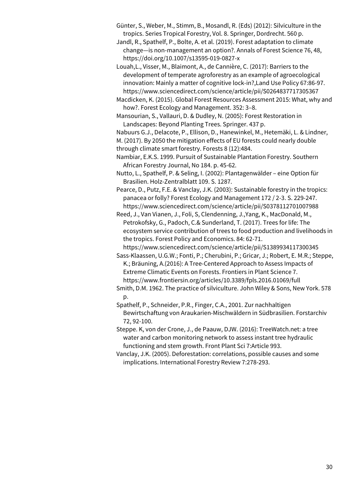- Günter, S., Weber, M., Stimm, B., Mosandl, R. (Eds) (2012): Silviculture in the tropics. Series Tropical Forestry, Vol. 8. Springer, Dordrecht. 560 p.
- Jandl, R., Spathelf, P., Bolte, A. et al. (2019). Forest adaptation to climate change—is non-management an option?. Annals of Forest Science 76, 48, <https://doi.org/10.1007/s13595-019-0827-x>
- Louah,L., Visser, M., Blaimont, A., de Cannière, C. (2017): Barriers to the development of temperate agroforestry as an example of agroecological innovation: Mainly a matter of cognitive lock-in?,Land Use Policy 67:86-97. https://www.sciencedirect.com/science/article/pii/S0264837717305367
- Macdicken, K. (2015). Global Forest Resources Assessment 2015: What, why and how?. Forest Ecology and Management. 352: 3–8.

Mansourian, S., Vallauri, D. & Dudley, N. (2005): Forest Restoration in Landscapes: Beyond Planting Trees. Springer. 437 p.

Nabuurs G.J., Delacote, P., Ellison, D., Hanewinkel, M., Hetemäki, L. & Lindner, M. (2017). By 2050 the mitigation effects of EU forests could nearly double through climate smart forestry. Forests 8 (12):484.

Nambiar, E.K.S. 1999. Pursuit of Sustainable Plantation Forestry. Southern African Forestry Journal, No 184. p. 45-62.

Nutto, L., Spathelf, P. & Seling, I. (2002): Plantagenwälder – eine Option für Brasilien. Holz-Zentralblatt 109. S. 1287.

Pearce, D., Putz, F.E. & Vanclay, J.K. (2003): Sustainable forestry in the tropics: panacea or folly? Forest Ecology and Management 172 / 2-3. S. 229-247. <https://www.sciencedirect.com/science/article/pii/S0378112701007988>

Reed, J., Van Vianen, J., Foli, S, Clendenning, J.,Yang, K., MacDonald, M., Petrokofsky, G., Padoch, C.& Sunderland, T. (2017). Trees for life: The ecosystem service contribution of trees to food production and livelihoods in the tropics. Forest Policy and Economics. 84: 62-71. <https://www.sciencedirect.com/science/article/pii/S1389934117300345>

- Sass-Klaassen, U.G.W.; Fonti, P.; Cherubini, P.; Gricar, J.; Robert, E. M.R.; Steppe, K.; Bräuning, A.(2016): A Tree-Centered Approach to Assess Impacts of Extreme Climatic Events on Forests. Frontiers in Plant Science 7. https://www.frontiersin.org/articles/10.3389/fpls.2016.01069/full
- Smith, D.M. 1962. The practice of silviculture. John Wiley & Sons, New York. 578 p.
- Spathelf, P., Schneider, P.R., Finger, C.A., 2001. Zur nachhaltigen Bewirtschaftung von Araukarien-Mischwäldern in Südbrasilien. Forstarchiv 72, 92-100.

Steppe. K, von der Crone, J., de Paauw, DJW. (2016): TreeWatch.net: a tree water and carbon monitoring network to assess instant tree hydraulic functioning and stem growth. Front Plant Sci 7:Article 993.

Vanclay, J.K. (2005). Deforestation: correlations, possible causes and some implications. International Forestry Review 7:278-293.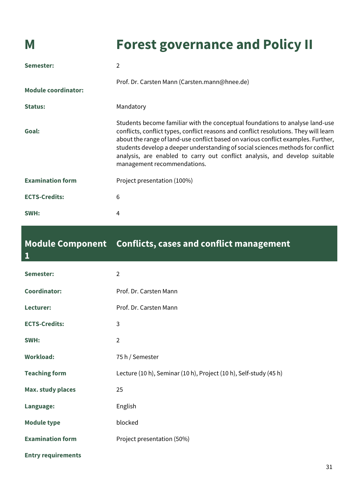## **M Forest governance and Policy II**

| Semester:                  | $\overline{2}$                                                                                                                                                                                                                                                                                                                                                                                                                                             |
|----------------------------|------------------------------------------------------------------------------------------------------------------------------------------------------------------------------------------------------------------------------------------------------------------------------------------------------------------------------------------------------------------------------------------------------------------------------------------------------------|
| <b>Module coordinator:</b> | Prof. Dr. Carsten Mann (Carsten.mann@hnee.de)                                                                                                                                                                                                                                                                                                                                                                                                              |
| <b>Status:</b>             | Mandatory                                                                                                                                                                                                                                                                                                                                                                                                                                                  |
| Goal:                      | Students become familiar with the conceptual foundations to analyse land-use<br>conflicts, conflict types, conflict reasons and conflict resolutions. They will learn<br>about the range of land-use conflict based on various conflict examples. Further,<br>students develop a deeper understanding of social sciences methods for conflict<br>analysis, are enabled to carry out conflict analysis, and develop suitable<br>management recommendations. |
| <b>Examination form</b>    | Project presentation (100%)                                                                                                                                                                                                                                                                                                                                                                                                                                |
| <b>ECTS-Credits:</b>       | 6                                                                                                                                                                                                                                                                                                                                                                                                                                                          |
| SWH:                       | 4                                                                                                                                                                                                                                                                                                                                                                                                                                                          |

| <b>Module Component</b><br>$\mathbf{1}$ | <b>Conflicts, cases and conflict management</b>                   |
|-----------------------------------------|-------------------------------------------------------------------|
| Semester:                               | $\overline{2}$                                                    |
| <b>Coordinator:</b>                     | Prof. Dr. Carsten Mann                                            |
| Lecturer:                               | Prof. Dr. Carsten Mann                                            |
| <b>ECTS-Credits:</b>                    | 3                                                                 |
| SWH:                                    | $\overline{2}$                                                    |
| <b>Workload:</b>                        | 75 h / Semester                                                   |
| <b>Teaching form</b>                    | Lecture (10 h), Seminar (10 h), Project (10 h), Self-study (45 h) |
| <b>Max. study places</b>                | 25                                                                |
| Language:                               | English                                                           |
| <b>Module type</b>                      | blocked                                                           |
| <b>Examination form</b>                 | Project presentation (50%)                                        |
| <b>Entry requirements</b>               |                                                                   |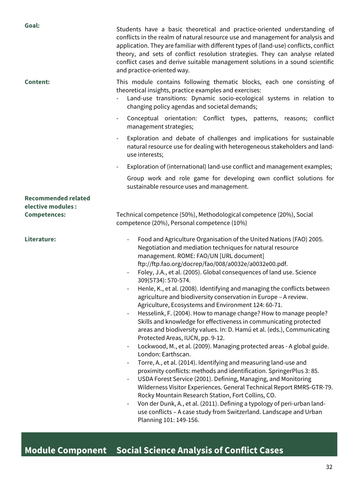| Goal:                                            | Students have a basic theoretical and practice-oriented understanding of<br>conflicts in the realm of natural resource use and management for analysis and<br>application. They are familiar with different types of (land-use) conflicts, conflict<br>theory, and sets of conflict resolution strategies. They can analyse related<br>conflict cases and derive suitable management solutions in a sound scientific<br>and practice-oriented way.                                                                                                                                                                                                                                                                                                                                                                                                                                                                                                                                                                                                                                                                                                                                                                                                                                                                                                                                                                                                                                   |
|--------------------------------------------------|--------------------------------------------------------------------------------------------------------------------------------------------------------------------------------------------------------------------------------------------------------------------------------------------------------------------------------------------------------------------------------------------------------------------------------------------------------------------------------------------------------------------------------------------------------------------------------------------------------------------------------------------------------------------------------------------------------------------------------------------------------------------------------------------------------------------------------------------------------------------------------------------------------------------------------------------------------------------------------------------------------------------------------------------------------------------------------------------------------------------------------------------------------------------------------------------------------------------------------------------------------------------------------------------------------------------------------------------------------------------------------------------------------------------------------------------------------------------------------------|
| <b>Content:</b>                                  | This module contains following thematic blocks, each one consisting of<br>theoretical insights, practice examples and exercises:<br>Land-use transitions: Dynamic socio-ecological systems in relation to<br>changing policy agendas and societal demands;<br>Conceptual orientation: Conflict types, patterns, reasons; conflict<br>management strategies;<br>Exploration and debate of challenges and implications for sustainable<br>$\overline{\phantom{a}}$<br>natural resource use for dealing with heterogeneous stakeholders and land-<br>use interests;<br>Exploration of (international) land-use conflict and management examples;<br>Group work and role game for developing own conflict solutions for<br>sustainable resource uses and management.                                                                                                                                                                                                                                                                                                                                                                                                                                                                                                                                                                                                                                                                                                                     |
| <b>Recommended related</b><br>elective modules : |                                                                                                                                                                                                                                                                                                                                                                                                                                                                                                                                                                                                                                                                                                                                                                                                                                                                                                                                                                                                                                                                                                                                                                                                                                                                                                                                                                                                                                                                                      |
| <b>Competences:</b>                              | Technical competence (50%), Methodological competence (20%), Social<br>competence (20%), Personal competence (10%)                                                                                                                                                                                                                                                                                                                                                                                                                                                                                                                                                                                                                                                                                                                                                                                                                                                                                                                                                                                                                                                                                                                                                                                                                                                                                                                                                                   |
| Literature:                                      | Food and Agriculture Organisation of the United Nations (FAO) 2005.<br>$\overline{\phantom{a}}$<br>Negotiation and mediation techniques for natural resource<br>management. ROME: FAO/UN [URL document]<br>ftp://ftp.fao.org/docrep/fao/008/a0032e/a0032e00.pdf.<br>Foley, J.A., et al. (2005). Global consequences of land use. Science<br>309(5734): 570-574.<br>Henle, K., et al. (2008). Identifying and managing the conflicts between<br>agriculture and biodiversity conservation in Europe - A review.<br>Agriculture, Ecosystems and Environment 124: 60-71.<br>Hesselink, F. (2004). How to manage change? How to manage people?<br>$\overline{\phantom{a}}$<br>Skills and knowledge for effectiveness in communicating protected<br>areas and biodiversity values. In: D. Hamú et al. (eds.), Communicating<br>Protected Areas, IUCN, pp. 9-12.<br>Lockwood, M., et al. (2009). Managing protected areas - A global guide.<br>London: Earthscan.<br>Torre, A., et al. (2014). Identifying and measuring land-use and<br>proximity conflicts: methods and identification. SpringerPlus 3: 85.<br>USDA Forest Service (2001). Defining, Managing, and Monitoring<br>Wilderness Visitor Experiences. General Technical Report RMRS-GTR-79.<br>Rocky Mountain Research Station, Fort Collins, CO.<br>Von der Dunk, A., et al. (2011). Defining a typology of peri-urban land-<br>use conflicts - A case study from Switzerland. Landscape and Urban<br>Planning 101: 149-156. |

## **Module Component Social Science Analysis of Conflict Cases**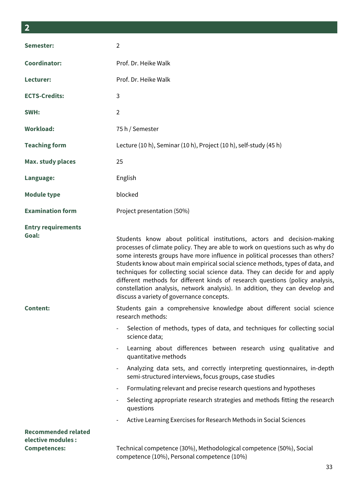| ×<br>×              |
|---------------------|
| I<br>I<br>I<br>____ |
|                     |

| Semester:                                        | $\overline{2}$                                                                                                                                                                                                                                                                                                                                                                                                                                                                                                                                                                                                                                                     |
|--------------------------------------------------|--------------------------------------------------------------------------------------------------------------------------------------------------------------------------------------------------------------------------------------------------------------------------------------------------------------------------------------------------------------------------------------------------------------------------------------------------------------------------------------------------------------------------------------------------------------------------------------------------------------------------------------------------------------------|
| <b>Coordinator:</b>                              | Prof. Dr. Heike Walk                                                                                                                                                                                                                                                                                                                                                                                                                                                                                                                                                                                                                                               |
| Lecturer:                                        | Prof. Dr. Heike Walk                                                                                                                                                                                                                                                                                                                                                                                                                                                                                                                                                                                                                                               |
| <b>ECTS-Credits:</b>                             | $\mathbf{3}$                                                                                                                                                                                                                                                                                                                                                                                                                                                                                                                                                                                                                                                       |
| SWH:                                             | $\overline{2}$                                                                                                                                                                                                                                                                                                                                                                                                                                                                                                                                                                                                                                                     |
| <b>Workload:</b>                                 | 75 h / Semester                                                                                                                                                                                                                                                                                                                                                                                                                                                                                                                                                                                                                                                    |
| <b>Teaching form</b>                             | Lecture (10 h), Seminar (10 h), Project (10 h), self-study (45 h)                                                                                                                                                                                                                                                                                                                                                                                                                                                                                                                                                                                                  |
| <b>Max. study places</b>                         | 25                                                                                                                                                                                                                                                                                                                                                                                                                                                                                                                                                                                                                                                                 |
| Language:                                        | English                                                                                                                                                                                                                                                                                                                                                                                                                                                                                                                                                                                                                                                            |
| <b>Module type</b>                               | blocked                                                                                                                                                                                                                                                                                                                                                                                                                                                                                                                                                                                                                                                            |
| <b>Examination form</b>                          | Project presentation (50%)                                                                                                                                                                                                                                                                                                                                                                                                                                                                                                                                                                                                                                         |
| <b>Entry requirements</b><br>Goal:               | Students know about political institutions, actors and decision-making<br>processes of climate policy. They are able to work on questions such as why do<br>some interests groups have more influence in political processes than others?<br>Students know about main empirical social science methods, types of data, and<br>techniques for collecting social science data. They can decide for and apply<br>different methods for different kinds of research questions (policy analysis,<br>constellation analysis, network analysis). In addition, they can develop and<br>discuss a variety of governance concepts.                                           |
| <b>Content:</b>                                  | Students gain a comprehensive knowledge about different social science<br>research methods:<br>Selection of methods, types of data, and techniques for collecting social<br>science data;<br>Learning about differences between research using qualitative and<br>quantitative methods<br>Analyzing data sets, and correctly interpreting questionnaires, in-depth<br>semi-structured interviews, focus groups, case studies<br>Formulating relevant and precise research questions and hypotheses<br>Selecting appropriate research strategies and methods fitting the research<br>questions<br>Active Learning Exercises for Research Methods in Social Sciences |
| <b>Recommended related</b><br>elective modules : |                                                                                                                                                                                                                                                                                                                                                                                                                                                                                                                                                                                                                                                                    |
| <b>Competences:</b>                              | Technical competence (30%), Methodological competence (50%), Social<br>competence (10%), Personal competence (10%)                                                                                                                                                                                                                                                                                                                                                                                                                                                                                                                                                 |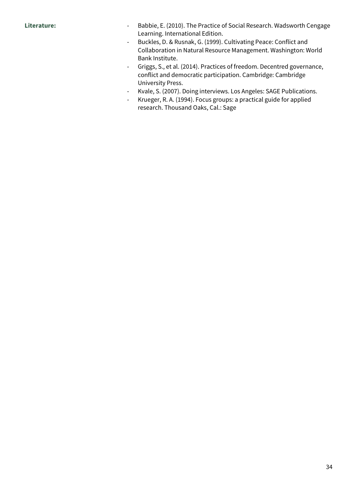- Literature: **Fig. 2010** Babbie, E. (2010). The Practice of Social Research. Wadsworth Cengage Learning. International Edition.
	- Buckles, D. & Rusnak, G. (1999). Cultivating Peace: Conflict and Collaboration in Natural Resource Management. Washington: World Bank Institute.
	- Griggs, S., et al. (2014). Practices of freedom. Decentred governance, conflict and democratic participation. Cambridge: Cambridge University Press.
	- Kvale, S. (2007). Doing interviews. Los Angeles: SAGE Publications.
	- Krueger, R. A. (1994). Focus groups: a practical guide for applied research. Thousand Oaks, Cal.: Sage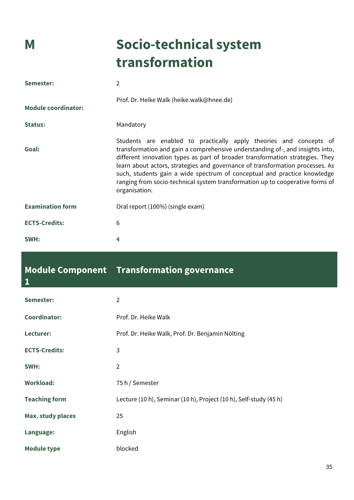## **M Socio-technical system transformation**

| Semester:                  | 2                                                                                                                                                                                                                                                                                                                                                                                                                                                                                                   |
|----------------------------|-----------------------------------------------------------------------------------------------------------------------------------------------------------------------------------------------------------------------------------------------------------------------------------------------------------------------------------------------------------------------------------------------------------------------------------------------------------------------------------------------------|
| <b>Module coordinator:</b> | Prof. Dr. Heike Walk (heike.walk@hnee.de)                                                                                                                                                                                                                                                                                                                                                                                                                                                           |
| <b>Status:</b>             | Mandatory                                                                                                                                                                                                                                                                                                                                                                                                                                                                                           |
| Goal:                      | Students are enabled to practically apply theories and concepts of<br>transformation and gain a comprehensive understanding of-, and insights into,<br>different innovation types as part of broader transformation strategies. They<br>learn about actors, strategies and governance of transformation processes. As<br>such, students gain a wide spectrum of conceptual and practice knowledge<br>ranging from socio-technical system transformation up to cooperative forms of<br>organisation. |
| <b>Examination form</b>    | Oral report (100%) (single exam)                                                                                                                                                                                                                                                                                                                                                                                                                                                                    |
| <b>ECTS-Credits:</b>       | 6                                                                                                                                                                                                                                                                                                                                                                                                                                                                                                   |
| SWH:                       | 4                                                                                                                                                                                                                                                                                                                                                                                                                                                                                                   |

#### **Module Component Transformation governance 1**

| Semester:                | $\overline{2}$                                                    |
|--------------------------|-------------------------------------------------------------------|
| <b>Coordinator:</b>      | Prof. Dr. Heike Walk                                              |
| Lecturer:                | Prof. Dr. Heike Walk, Prof. Dr. Benjamin Nölting                  |
| <b>ECTS-Credits:</b>     | 3                                                                 |
| SWH:                     | $\mathfrak{D}$                                                    |
| <b>Workload:</b>         | 75 h / Semester                                                   |
| <b>Teaching form</b>     | Lecture (10 h), Seminar (10 h), Project (10 h), Self-study (45 h) |
| <b>Max. study places</b> | 25                                                                |
| Language:                | English                                                           |
| <b>Module type</b>       | blocked                                                           |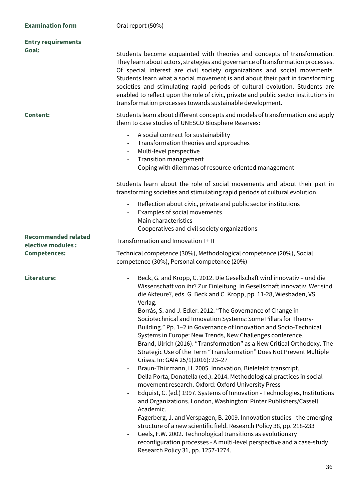| <b>Entry requirements</b><br>Goal:                                      | Students become acquainted with theories and concepts of transformation.<br>They learn about actors, strategies and governance of transformation processes.<br>Of special interest are civil society organizations and social movements.<br>Students learn what a social movement is and about their part in transforming<br>societies and stimulating rapid periods of cultural evolution. Students are<br>enabled to reflect upon the role of civic, private and public sector institutions in<br>transformation processes towards sustainable development.                                                                                                                                                                                                                                                                                                                                                                                                                                                                                                                                                                                                                                                                                                                                                                                                                                                                                                                          |
|-------------------------------------------------------------------------|----------------------------------------------------------------------------------------------------------------------------------------------------------------------------------------------------------------------------------------------------------------------------------------------------------------------------------------------------------------------------------------------------------------------------------------------------------------------------------------------------------------------------------------------------------------------------------------------------------------------------------------------------------------------------------------------------------------------------------------------------------------------------------------------------------------------------------------------------------------------------------------------------------------------------------------------------------------------------------------------------------------------------------------------------------------------------------------------------------------------------------------------------------------------------------------------------------------------------------------------------------------------------------------------------------------------------------------------------------------------------------------------------------------------------------------------------------------------------------------|
| <b>Content:</b>                                                         | Students learn about different concepts and models of transformation and apply<br>them to case studies of UNESCO Biosphere Reserves:<br>A social contract for sustainability<br>Transformation theories and approaches<br>$\overline{\phantom{a}}$<br>Multi-level perspective<br>$\overline{\phantom{a}}$<br><b>Transition management</b><br>$\overline{\phantom{a}}$<br>Coping with dilemmas of resource-oriented management                                                                                                                                                                                                                                                                                                                                                                                                                                                                                                                                                                                                                                                                                                                                                                                                                                                                                                                                                                                                                                                          |
|                                                                         | Students learn about the role of social movements and about their part in<br>transforming societies and stimulating rapid periods of cultural evolution.<br>Reflection about civic, private and public sector institutions<br>$\overline{\phantom{a}}$<br>Examples of social movements<br>$\overline{\phantom{a}}$<br>Main characteristics<br>Cooperatives and civil society organizations                                                                                                                                                                                                                                                                                                                                                                                                                                                                                                                                                                                                                                                                                                                                                                                                                                                                                                                                                                                                                                                                                             |
| <b>Recommended related</b><br>elective modules :<br><b>Competences:</b> | Transformation and Innovation I + II<br>Technical competence (30%), Methodological competence (20%), Social<br>competence (30%), Personal competence (20%)                                                                                                                                                                                                                                                                                                                                                                                                                                                                                                                                                                                                                                                                                                                                                                                                                                                                                                                                                                                                                                                                                                                                                                                                                                                                                                                             |
| Literature:                                                             | Beck, G. and Kropp, C. 2012. Die Gesellschaft wird innovativ - und die<br>$\overline{\phantom{a}}$<br>Wissenschaft von ihr? Zur Einleitung. In Gesellschaft innovativ. Wer sind<br>die Akteure?, eds. G. Beck and C. Kropp, pp. 11-28, Wiesbaden, VS<br>Verlag.<br>Borrás, S. and J. Edler. 2012. "The Governance of Change in<br>Sociotechnical and Innovation Systems: Some Pillars for Theory-<br>Building." Pp. 1-2 in Governance of Innovation and Socio-Technical<br>Systems in Europe: New Trends, New Challenges conference.<br>Brand, Ulrich (2016). "Transformation" as a New Critical Orthodoxy. The<br>$\overline{\phantom{a}}$<br>Strategic Use of the Term "Transformation" Does Not Prevent Multiple<br>Crises. In: GAIA 25/1(2016): 23-27<br>Braun-Thürmann, H. 2005. Innovation, Bielefeld: transcript.<br>$\overline{\phantom{a}}$<br>Della Porta, Donatella (ed.). 2014. Methodological practices in social<br>movement research. Oxford: Oxford University Press<br>Edquist, C. (ed.) 1997. Systems of Innovation - Technologies, Institutions<br>and Organizations. London, Washington: Pinter Publishers/Cassell<br>Academic.<br>Fagerberg, J. and Verspagen, B. 2009. Innovation studies - the emerging<br>structure of a new scientific field. Research Policy 38, pp. 218-233<br>Geels, F.W. 2002. Technological transitions as evolutionary<br>reconfiguration processes - A multi-level perspective and a case-study.<br>Research Policy 31, pp. 1257-1274. |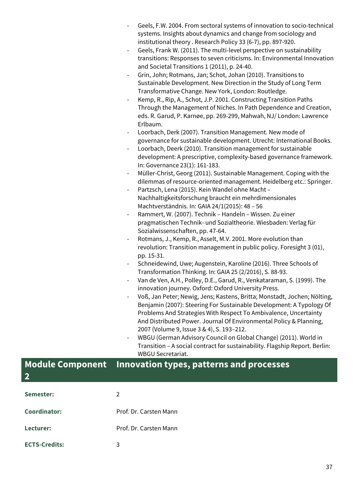|                              | Geels, F.W. 2004. From sectoral systems of innovation to socio-technical<br>systems. Insights about dynamics and change from sociology and<br>institutional theory . Research Policy 33 (6-7), pp. 897-920. |
|------------------------------|-------------------------------------------------------------------------------------------------------------------------------------------------------------------------------------------------------------|
|                              | Geels, Frank W. (2011). The multi-level perspective on sustainability<br>transitions: Responses to seven criticisms. In: Environmental Innovation<br>and Societal Transitions 1 (2011), p. 24-40.           |
|                              | Grin, John; Rotmans, Jan; Schot, Johan (2010). Transitions to<br>Sustainable Development. New Direction in the Study of Long Term                                                                           |
|                              | Transformative Change. New York, London: Routledge.                                                                                                                                                         |
| $\overline{\phantom{a}}$     | Kemp, R., Rip, A., Schot, J.P. 2001. Constructing Transition Paths                                                                                                                                          |
|                              | Through the Management of Niches. In Path Dependence and Creation,                                                                                                                                          |
|                              | eds. R. Garud, P. Karnøe, pp. 269-299, Mahwah, NJ/ London: Lawrence<br>Erlbaum.                                                                                                                             |
| $\overline{\phantom{a}}$     | Loorbach, Derk (2007). Transition Management. New mode of                                                                                                                                                   |
|                              | governance for sustainable development. Utrecht: International Books.                                                                                                                                       |
|                              | Loorbach, Deerk (2010). Transition management for sustainable                                                                                                                                               |
|                              | development: A prescriptive, complexity-based governance framework.                                                                                                                                         |
|                              | In: Governance 23(1): 161-183.                                                                                                                                                                              |
| ۰                            | Müller-Christ, Georg (2011). Sustainable Management. Coping with the                                                                                                                                        |
|                              | dilemmas of resource-oriented management. Heidelberg etc.: Springer.                                                                                                                                        |
| $\qquad \qquad -$            | Partzsch, Lena (2015). Kein Wandel ohne Macht -                                                                                                                                                             |
|                              | Nachhaltigkeitsforschung braucht ein mehrdimensionales                                                                                                                                                      |
|                              | Machtverständnis. In: GAIA 24/1(2015): 48 - 56                                                                                                                                                              |
| $\qquad \qquad \blacksquare$ | Rammert, W. (2007). Technik - Handeln - Wissen. Zu einer                                                                                                                                                    |
|                              | pragmatischen Technik- und Sozialtheorie. Wiesbaden: Verlag für<br>Sozialwissenschaften, pp. 47-64.                                                                                                         |
| -                            | Rotmans, J., Kemp, R., Asselt, M.V. 2001. More evolution than                                                                                                                                               |
|                              | revolution: Transition management in public policy. Foresight 3 (01),                                                                                                                                       |
|                              | pp. 15-31.                                                                                                                                                                                                  |
|                              | Schneidewind, Uwe; Augenstein, Karoline (2016). Three Schools of                                                                                                                                            |
|                              | Transformation Thinking. In: GAIA 25 (2/2016), S. 88-93.                                                                                                                                                    |
|                              | Van de Ven, A.H., Polley, D.E., Garud, R., Venkataraman, S. (1999). The<br>innovation journey. Oxford: Oxford University Press.                                                                             |
|                              | Voß, Jan Peter; Newig, Jens; Kastens, Britta; Monstadt, Jochen; Nölting,                                                                                                                                    |
|                              | Benjamin (2007): Steering For Sustainable Development: A Typology Of                                                                                                                                        |
|                              | Problems And Strategies With Respect To Ambivalence, Uncertainty                                                                                                                                            |
|                              | And Distributed Power. Journal Of Environmental Policy & Planning,                                                                                                                                          |
|                              | 2007 (Volume 9, Issue 3 & 4), S. 193-212.                                                                                                                                                                   |
|                              | WBGU (German Advisory Council on Global Change) (2011). World in<br>Transition A social contract for sustainability Flagship Penort Reglin:                                                                 |

Transition – A social contract for sustainability. Flagship Report. Berlin: WBGU Secretariat.

#### **Module Component Innovation types, patterns and processes**

| $\overline{2}$       |                        |
|----------------------|------------------------|
| Semester:            | 2                      |
| <b>Coordinator:</b>  | Prof. Dr. Carsten Mann |
| Lecturer:            | Prof. Dr. Carsten Mann |
| <b>ECTS-Credits:</b> | 3                      |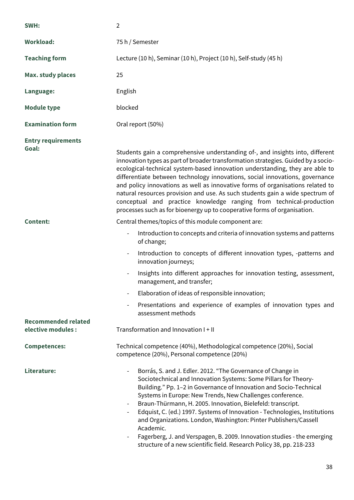| SWH:                                             | $\overline{2}$                                                                                                                                                                                                                                                                                                                                                                                                                                                                                                                                                                                                                                           |
|--------------------------------------------------|----------------------------------------------------------------------------------------------------------------------------------------------------------------------------------------------------------------------------------------------------------------------------------------------------------------------------------------------------------------------------------------------------------------------------------------------------------------------------------------------------------------------------------------------------------------------------------------------------------------------------------------------------------|
| <b>Workload:</b>                                 | 75 h / Semester                                                                                                                                                                                                                                                                                                                                                                                                                                                                                                                                                                                                                                          |
| <b>Teaching form</b>                             | Lecture (10 h), Seminar (10 h), Project (10 h), Self-study (45 h)                                                                                                                                                                                                                                                                                                                                                                                                                                                                                                                                                                                        |
| <b>Max. study places</b>                         | 25                                                                                                                                                                                                                                                                                                                                                                                                                                                                                                                                                                                                                                                       |
| Language:                                        | English                                                                                                                                                                                                                                                                                                                                                                                                                                                                                                                                                                                                                                                  |
| <b>Module type</b>                               | blocked                                                                                                                                                                                                                                                                                                                                                                                                                                                                                                                                                                                                                                                  |
| <b>Examination form</b>                          | Oral report (50%)                                                                                                                                                                                                                                                                                                                                                                                                                                                                                                                                                                                                                                        |
| <b>Entry requirements</b><br>Goal:               | Students gain a comprehensive understanding of-, and insights into, different<br>innovation types as part of broader transformation strategies. Guided by a socio-<br>ecological-technical system-based innovation understanding, they are able to<br>differentiate between technology innovations, social innovations, governance<br>and policy innovations as well as innovative forms of organisations related to<br>natural resources provision and use. As such students gain a wide spectrum of<br>conceptual and practice knowledge ranging from technical-production<br>processes such as for bioenergy up to cooperative forms of organisation. |
| <b>Content:</b>                                  | Central themes/topics of this module component are:<br>Introduction to concepts and criteria of innovation systems and patterns<br>of change;<br>Introduction to concepts of different innovation types, -patterns and<br>innovation journeys;<br>Insights into different approaches for innovation testing, assessment,<br>management, and transfer;<br>Elaboration of ideas of responsible innovation;<br>Presentations and experience of examples of innovation types and                                                                                                                                                                             |
| <b>Recommended related</b><br>elective modules : | assessment methods<br>Transformation and Innovation I + II                                                                                                                                                                                                                                                                                                                                                                                                                                                                                                                                                                                               |
| <b>Competences:</b>                              | Technical competence (40%), Methodological competence (20%), Social<br>competence (20%), Personal competence (20%)                                                                                                                                                                                                                                                                                                                                                                                                                                                                                                                                       |
| Literature:                                      | Borrás, S. and J. Edler. 2012. "The Governance of Change in<br>Sociotechnical and Innovation Systems: Some Pillars for Theory-<br>Building." Pp. 1-2 in Governance of Innovation and Socio-Technical<br>Systems in Europe: New Trends, New Challenges conference.<br>Braun-Thürmann, H. 2005. Innovation, Bielefeld: transcript.<br>Edquist, C. (ed.) 1997. Systems of Innovation - Technologies, Institutions<br>and Organizations. London, Washington: Pinter Publishers/Cassell<br>Academic.<br>Fagerberg, J. and Verspagen, B. 2009. Innovation studies - the emerging<br>structure of a new scientific field. Research Policy 38, pp. 218-233       |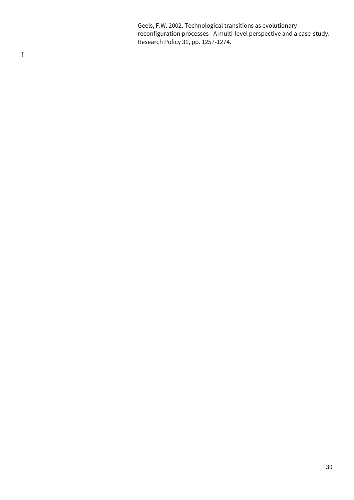- Geels, F.W. 2002. Technological transitions as evolutionary reconfiguration processes - A multi-level perspective and a case-study. Research Policy 31, pp. 1257-1274.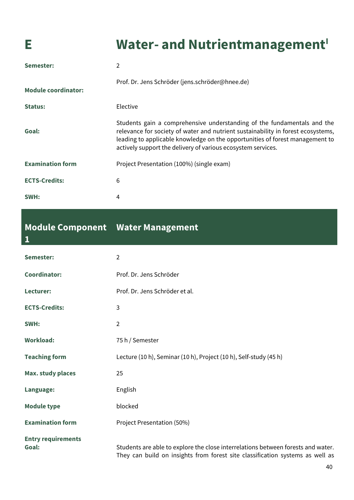## **E Water-** and Nutrientmanagement<sup>I</sup>

| Semester:                  | 2                                                                                                                                                                                                                                                                                                           |
|----------------------------|-------------------------------------------------------------------------------------------------------------------------------------------------------------------------------------------------------------------------------------------------------------------------------------------------------------|
| <b>Module coordinator:</b> | Prof. Dr. Jens Schröder (jens.schröder@hnee.de)                                                                                                                                                                                                                                                             |
| <b>Status:</b>             | Elective                                                                                                                                                                                                                                                                                                    |
| Goal:                      | Students gain a comprehensive understanding of the fundamentals and the<br>relevance for society of water and nutrient sustainability in forest ecosystems,<br>leading to applicable knowledge on the opportunities of forest management to<br>actively support the delivery of various ecosystem services. |
| <b>Examination form</b>    | Project Presentation (100%) (single exam)                                                                                                                                                                                                                                                                   |
| <b>ECTS-Credits:</b>       | 6                                                                                                                                                                                                                                                                                                           |
| SWH:                       | 4                                                                                                                                                                                                                                                                                                           |

#### **Module Component Water Management 1**

| Semester:                          | $\overline{2}$                                                                                                                                                    |
|------------------------------------|-------------------------------------------------------------------------------------------------------------------------------------------------------------------|
| <b>Coordinator:</b>                | Prof. Dr. Jens Schröder                                                                                                                                           |
| Lecturer:                          | Prof. Dr. Jens Schröder et al.                                                                                                                                    |
| <b>ECTS-Credits:</b>               | 3                                                                                                                                                                 |
| SWH:                               | $\overline{2}$                                                                                                                                                    |
| <b>Workload:</b>                   | 75 h / Semester                                                                                                                                                   |
| <b>Teaching form</b>               | Lecture (10 h), Seminar (10 h), Project (10 h), Self-study (45 h)                                                                                                 |
| <b>Max. study places</b>           | 25                                                                                                                                                                |
| Language:                          | English                                                                                                                                                           |
| <b>Module type</b>                 | blocked                                                                                                                                                           |
| <b>Examination form</b>            | Project Presentation (50%)                                                                                                                                        |
| <b>Entry requirements</b><br>Goal: | Students are able to explore the close interrelations between forests and water.<br>They can build on insights from forest site classification systems as well as |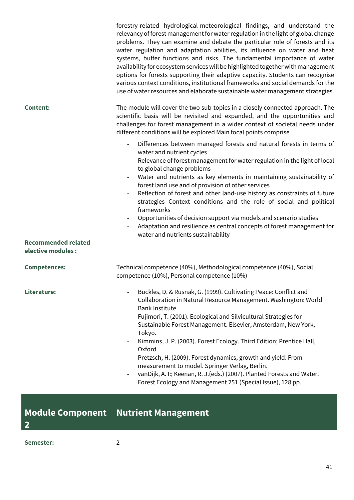|                            | forestry-related hydrological-meteorological findings, and understand the<br>relevancy of forest management for water regulation in the light of global change<br>problems. They can examine and debate the particular role of forests and its<br>water regulation and adaptation abilities, its influence on water and heat<br>systems, buffer functions and risks. The fundamental importance of water<br>availability for ecosystem services will be highlighted together with management<br>options for forests supporting their adaptive capacity. Students can recognise<br>various context conditions, institutional frameworks and social demands for the<br>use of water resources and elaborate sustainable water management strategies. |
|----------------------------|----------------------------------------------------------------------------------------------------------------------------------------------------------------------------------------------------------------------------------------------------------------------------------------------------------------------------------------------------------------------------------------------------------------------------------------------------------------------------------------------------------------------------------------------------------------------------------------------------------------------------------------------------------------------------------------------------------------------------------------------------|
| <b>Content:</b>            | The module will cover the two sub-topics in a closely connected approach. The<br>scientific basis will be revisited and expanded, and the opportunities and<br>challenges for forest management in a wider context of societal needs under<br>different conditions will be explored Main focal points comprise                                                                                                                                                                                                                                                                                                                                                                                                                                     |
| <b>Recommended related</b> | Differences between managed forests and natural forests in terms of<br>water and nutrient cycles<br>Relevance of forest management for water regulation in the light of local<br>to global change problems<br>Water and nutrients as key elements in maintaining sustainability of<br>forest land use and of provision of other services<br>Reflection of forest and other land-use history as constraints of future<br>strategies Context conditions and the role of social and political<br>frameworks<br>Opportunities of decision support via models and scenario studies<br>Adaptation and resilience as central concepts of forest management for<br>water and nutrients sustainability                                                      |
| elective modules :         |                                                                                                                                                                                                                                                                                                                                                                                                                                                                                                                                                                                                                                                                                                                                                    |
| <b>Competences:</b>        | Technical competence (40%), Methodological competence (40%), Social<br>competence (10%), Personal competence (10%)                                                                                                                                                                                                                                                                                                                                                                                                                                                                                                                                                                                                                                 |
| Literature:                | Buckles, D. & Rusnak, G. (1999). Cultivating Peace: Conflict and<br>Collaboration in Natural Resource Management. Washington: World<br>Bank Institute.<br>Fujimori, T. (2001). Ecological and Silvicultural Strategies for<br>$\overline{\phantom{a}}$<br>Sustainable Forest Management. Elsevier, Amsterdam, New York,<br>Tokyo.<br>Kimmins, J. P. (2003). Forest Ecology. Third Edition; Prentice Hall,<br>Oxford<br>Pretzsch, H. (2009). Forest dynamics, growth and yield: From<br>measurement to model. Springer Verlag, Berlin.<br>vanDijk, A. I:; Keenan, R. J. (eds.) (2007). Planted Forests and Water.<br>Forest Ecology and Management 251 (Special Issue), 128 pp.                                                                     |

**Module Component Nutrient Management**

**Semester:** 2

**2**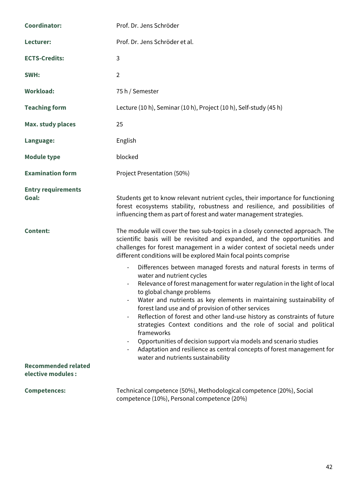| <b>Coordinator:</b>                | Prof. Dr. Jens Schröder                                                                                                                                                                                                                                                                                                                                                                                                                                                                                                                                                                                                                                                                       |
|------------------------------------|-----------------------------------------------------------------------------------------------------------------------------------------------------------------------------------------------------------------------------------------------------------------------------------------------------------------------------------------------------------------------------------------------------------------------------------------------------------------------------------------------------------------------------------------------------------------------------------------------------------------------------------------------------------------------------------------------|
| Lecturer:                          | Prof. Dr. Jens Schröder et al.                                                                                                                                                                                                                                                                                                                                                                                                                                                                                                                                                                                                                                                                |
| <b>ECTS-Credits:</b>               | 3                                                                                                                                                                                                                                                                                                                                                                                                                                                                                                                                                                                                                                                                                             |
| SWH:                               | $\overline{2}$                                                                                                                                                                                                                                                                                                                                                                                                                                                                                                                                                                                                                                                                                |
| <b>Workload:</b>                   | 75 h / Semester                                                                                                                                                                                                                                                                                                                                                                                                                                                                                                                                                                                                                                                                               |
| <b>Teaching form</b>               | Lecture (10 h), Seminar (10 h), Project (10 h), Self-study (45 h)                                                                                                                                                                                                                                                                                                                                                                                                                                                                                                                                                                                                                             |
| <b>Max. study places</b>           | 25                                                                                                                                                                                                                                                                                                                                                                                                                                                                                                                                                                                                                                                                                            |
| Language:                          | English                                                                                                                                                                                                                                                                                                                                                                                                                                                                                                                                                                                                                                                                                       |
| <b>Module type</b>                 | blocked                                                                                                                                                                                                                                                                                                                                                                                                                                                                                                                                                                                                                                                                                       |
| <b>Examination form</b>            | Project Presentation (50%)                                                                                                                                                                                                                                                                                                                                                                                                                                                                                                                                                                                                                                                                    |
| <b>Entry requirements</b><br>Goal: | Students get to know relevant nutrient cycles, their importance for functioning<br>forest ecosystems stability, robustness and resilience, and possibilities of<br>influencing them as part of forest and water management strategies.                                                                                                                                                                                                                                                                                                                                                                                                                                                        |
| <b>Content:</b>                    | The module will cover the two sub-topics in a closely connected approach. The<br>scientific basis will be revisited and expanded, and the opportunities and<br>challenges for forest management in a wider context of societal needs under<br>different conditions will be explored Main focal points comprise                                                                                                                                                                                                                                                                                                                                                                                |
| <b>Recommended related</b>         | Differences between managed forests and natural forests in terms of<br>water and nutrient cycles<br>Relevance of forest management for water regulation in the light of local<br>to global change problems<br>Water and nutrients as key elements in maintaining sustainability of<br>forest land use and of provision of other services<br>Reflection of forest and other land-use history as constraints of future<br>strategies Context conditions and the role of social and political<br>frameworks<br>Opportunities of decision support via models and scenario studies<br>Adaptation and resilience as central concepts of forest management for<br>water and nutrients sustainability |
| elective modules :                 |                                                                                                                                                                                                                                                                                                                                                                                                                                                                                                                                                                                                                                                                                               |
| <b>Competences:</b>                | Technical competence (50%), Methodological competence (20%), Social<br>competence (10%), Personal competence (20%)                                                                                                                                                                                                                                                                                                                                                                                                                                                                                                                                                                            |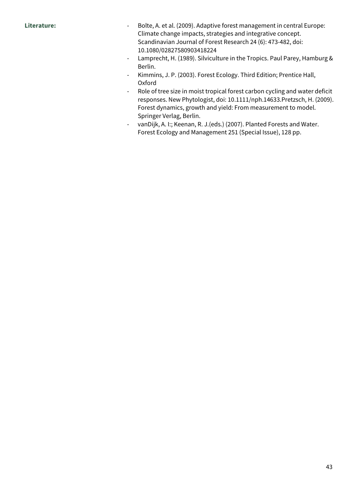- Literature: **Interature:** Fig. 2001 Bolte, A. et al. (2009). Adaptive forest management in central Europe: Climate change impacts, strategies and integrative concept. Scandinavian Journal of Forest Research 24 (6): 473-482, doi: 10.1080/02827580903418224
	- Lamprecht, H. (1989). Silviculture in the Tropics. Paul Parey, Hamburg & Berlin.
	- Kimmins, J. P. (2003). Forest Ecology. Third Edition; Prentice Hall, Oxford
	- Role of tree size in moist tropical forest carbon cycling and water deficit responses. New Phytologist, doi: 10.1111/nph.14633.Pretzsch, H. (2009). Forest dynamics, growth and yield: From measurement to model. Springer Verlag, Berlin.
	- vanDijk, A. I:; Keenan, R. J.(eds.) (2007). Planted Forests and Water. Forest Ecology and Management 251 (Special Issue), 128 pp.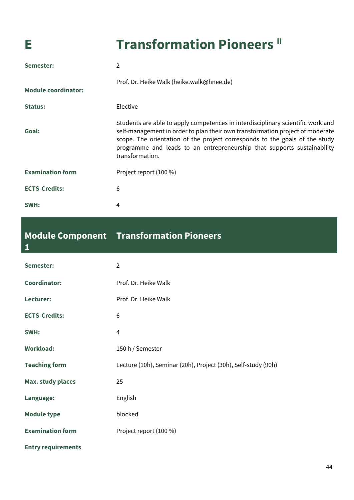**1**

## **E Transformation Pioneers II**

| Semester:                  | 2                                                                                                                                                                                                                                                                                                                                             |
|----------------------------|-----------------------------------------------------------------------------------------------------------------------------------------------------------------------------------------------------------------------------------------------------------------------------------------------------------------------------------------------|
| <b>Module coordinator:</b> | Prof. Dr. Heike Walk (heike.walk@hnee.de)                                                                                                                                                                                                                                                                                                     |
| <b>Status:</b>             | Elective                                                                                                                                                                                                                                                                                                                                      |
| Goal:                      | Students are able to apply competences in interdisciplinary scientific work and<br>self-management in order to plan their own transformation project of moderate<br>scope. The orientation of the project corresponds to the goals of the study<br>programme and leads to an entrepreneurship that supports sustainability<br>transformation. |
| <b>Examination form</b>    | Project report (100 %)                                                                                                                                                                                                                                                                                                                        |
| <b>ECTS-Credits:</b>       | 6                                                                                                                                                                                                                                                                                                                                             |
| SWH:                       | 4                                                                                                                                                                                                                                                                                                                                             |

#### **Module Component Transformation Pioneers**

| Semester:                 | $\overline{2}$                                                |
|---------------------------|---------------------------------------------------------------|
| <b>Coordinator:</b>       | Prof. Dr. Heike Walk                                          |
| Lecturer:                 | Prof. Dr. Heike Walk                                          |
| <b>ECTS-Credits:</b>      | 6                                                             |
| SWH:                      | 4                                                             |
| <b>Workload:</b>          | 150 h / Semester                                              |
| <b>Teaching form</b>      | Lecture (10h), Seminar (20h), Project (30h), Self-study (90h) |
| <b>Max. study places</b>  | 25                                                            |
| Language:                 | English                                                       |
| <b>Module type</b>        | blocked                                                       |
| <b>Examination form</b>   | Project report (100 %)                                        |
| <b>Entry requirements</b> |                                                               |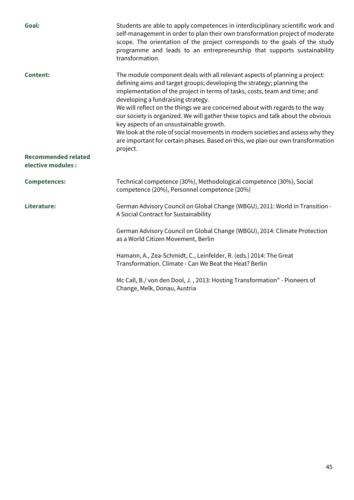| Goal:                                            | Students are able to apply competences in interdisciplinary scientific work and<br>self-management in order to plan their own transformation project of moderate<br>scope. The orientation of the project corresponds to the goals of the study<br>programme and leads to an entrepreneurship that supports sustainability<br>transformation.                                                                                                                                                                                                                                                                                                                              |
|--------------------------------------------------|----------------------------------------------------------------------------------------------------------------------------------------------------------------------------------------------------------------------------------------------------------------------------------------------------------------------------------------------------------------------------------------------------------------------------------------------------------------------------------------------------------------------------------------------------------------------------------------------------------------------------------------------------------------------------|
| <b>Content:</b>                                  | The module component deals with all relevant aspects of planning a project:<br>defining aims and target groups; developing the strategy; planning the<br>implementation of the project in terms of tasks, costs, team and time; and<br>developing a fundraising strategy.<br>We will reflect on the things we are concerned about with regards to the way<br>our society is organized. We will gather these topics and talk about the obvious<br>key aspects of an unsustainable growth.<br>We look at the role of social movements in modern societies and assess why they<br>are important for certain phases. Based on this, we plan our own transformation<br>project. |
| <b>Recommended related</b><br>elective modules : |                                                                                                                                                                                                                                                                                                                                                                                                                                                                                                                                                                                                                                                                            |
| <b>Competences:</b>                              | Technical competence (30%), Methodological competence (30%), Social<br>competence (20%), Personnel competence (20%)                                                                                                                                                                                                                                                                                                                                                                                                                                                                                                                                                        |
| Literature:                                      | German Advisory Council on Global Change (WBGU), 2011: World in Transition -<br>A Social Contract for Sustainability                                                                                                                                                                                                                                                                                                                                                                                                                                                                                                                                                       |
|                                                  | German Advisory Council on Global Change (WBGU), 2014: Climate Protection<br>as a World Citizen Movement, Berlin                                                                                                                                                                                                                                                                                                                                                                                                                                                                                                                                                           |
|                                                  | Hamann, A., Zea-Schmidt, C., Leinfelder, R. (eds.) 2014: The Great<br>Transformation. Climate - Can We Beat the Heat? Berlin                                                                                                                                                                                                                                                                                                                                                                                                                                                                                                                                               |
|                                                  | Mc Call, B./von den Dool, J., 2013: Hosting Transformation" - Pioneers of<br>Change, Melk, Donau, Austria                                                                                                                                                                                                                                                                                                                                                                                                                                                                                                                                                                  |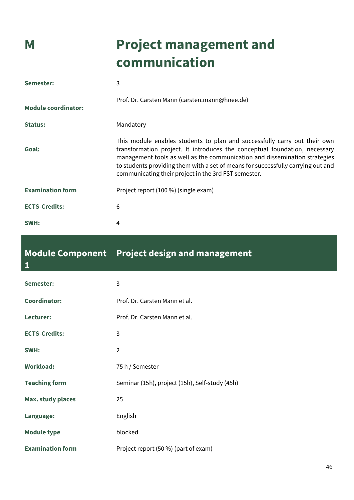**1**

## **M Project management and communication**

| Semester:                  | 3                                                                                                                                                                                                                                                                                                                                                                                 |
|----------------------------|-----------------------------------------------------------------------------------------------------------------------------------------------------------------------------------------------------------------------------------------------------------------------------------------------------------------------------------------------------------------------------------|
| <b>Module coordinator:</b> | Prof. Dr. Carsten Mann (carsten.mann@hnee.de)                                                                                                                                                                                                                                                                                                                                     |
| <b>Status:</b>             | Mandatory                                                                                                                                                                                                                                                                                                                                                                         |
| Goal:                      | This module enables students to plan and successfully carry out their own<br>transformation project. It introduces the conceptual foundation, necessary<br>management tools as well as the communication and dissemination strategies<br>to students providing them with a set of means for successfully carrying out and<br>communicating their project in the 3rd FST semester. |
| <b>Examination form</b>    | Project report (100 %) (single exam)                                                                                                                                                                                                                                                                                                                                              |
| <b>ECTS-Credits:</b>       | 6                                                                                                                                                                                                                                                                                                                                                                                 |
| SWH:                       | 4                                                                                                                                                                                                                                                                                                                                                                                 |

### **Module Component Project design and management**

| Semester:                | 3                                              |
|--------------------------|------------------------------------------------|
| <b>Coordinator:</b>      | Prof. Dr. Carsten Mann et al.                  |
| Lecturer:                | Prof. Dr. Carsten Mann et al.                  |
| <b>ECTS-Credits:</b>     | 3                                              |
| SWH:                     | $\overline{2}$                                 |
| <b>Workload:</b>         | 75 h / Semester                                |
| <b>Teaching form</b>     | Seminar (15h), project (15h), Self-study (45h) |
| <b>Max. study places</b> | 25                                             |
| Language:                | English                                        |
| <b>Module type</b>       | blocked                                        |
| <b>Examination form</b>  | Project report (50 %) (part of exam)           |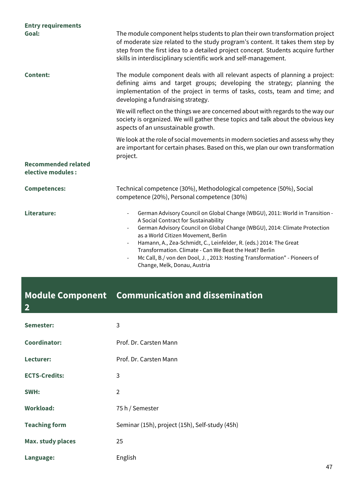| <b>Entry requirements</b>                        |                                                                                                                                                                                                                                                                                                                                                                                                                                                                                                                   |
|--------------------------------------------------|-------------------------------------------------------------------------------------------------------------------------------------------------------------------------------------------------------------------------------------------------------------------------------------------------------------------------------------------------------------------------------------------------------------------------------------------------------------------------------------------------------------------|
| Goal:                                            | The module component helps students to plan their own transformation project<br>of moderate size related to the study program's content. It takes them step by<br>step from the first idea to a detailed project concept. Students acquire further<br>skills in interdisciplinary scientific work and self-management.                                                                                                                                                                                            |
| <b>Content:</b>                                  | The module component deals with all relevant aspects of planning a project:<br>defining aims and target groups; developing the strategy; planning the<br>implementation of the project in terms of tasks, costs, team and time; and<br>developing a fundraising strategy.                                                                                                                                                                                                                                         |
|                                                  | We will reflect on the things we are concerned about with regards to the way our<br>society is organized. We will gather these topics and talk about the obvious key<br>aspects of an unsustainable growth.                                                                                                                                                                                                                                                                                                       |
|                                                  | We look at the role of social movements in modern societies and assess why they<br>are important for certain phases. Based on this, we plan our own transformation<br>project.                                                                                                                                                                                                                                                                                                                                    |
| <b>Recommended related</b><br>elective modules : |                                                                                                                                                                                                                                                                                                                                                                                                                                                                                                                   |
| <b>Competences:</b>                              | Technical competence (30%), Methodological competence (50%), Social<br>competence (20%), Personal competence (30%)                                                                                                                                                                                                                                                                                                                                                                                                |
| Literature:                                      | German Advisory Council on Global Change (WBGU), 2011: World in Transition -<br>A Social Contract for Sustainability<br>German Advisory Council on Global Change (WBGU), 2014: Climate Protection<br>as a World Citizen Movement, Berlin<br>Hamann, A., Zea-Schmidt, C., Leinfelder, R. (eds.) 2014: The Great<br>$\overline{\phantom{a}}$<br>Transformation. Climate - Can We Beat the Heat? Berlin<br>Mc Call, B./von den Dool, J., 2013: Hosting Transformation" - Pioneers of<br>Change, Melk, Donau, Austria |

### **Module Component Communication and dissemination**

**2**

| Semester:                | 3                                              |
|--------------------------|------------------------------------------------|
| <b>Coordinator:</b>      | Prof. Dr. Carsten Mann                         |
| Lecturer:                | Prof. Dr. Carsten Mann                         |
| <b>ECTS-Credits:</b>     | 3                                              |
| SWH:                     | $\overline{2}$                                 |
| <b>Workload:</b>         | 75 h / Semester                                |
| <b>Teaching form</b>     | Seminar (15h), project (15h), Self-study (45h) |
| <b>Max. study places</b> | 25                                             |
| Language:                | English                                        |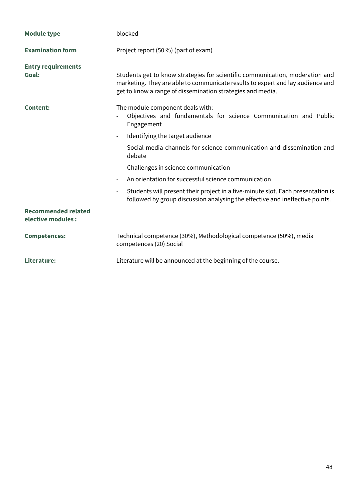| <b>Module type</b>                               | blocked                                                                                                                                                                                                                      |
|--------------------------------------------------|------------------------------------------------------------------------------------------------------------------------------------------------------------------------------------------------------------------------------|
| <b>Examination form</b>                          | Project report (50 %) (part of exam)                                                                                                                                                                                         |
| <b>Entry requirements</b><br>Goal:               | Students get to know strategies for scientific communication, moderation and<br>marketing. They are able to communicate results to expert and lay audience and<br>get to know a range of dissemination strategies and media. |
| <b>Content:</b>                                  | The module component deals with:<br>Objectives and fundamentals for science Communication and Public<br>Engagement                                                                                                           |
|                                                  | Identifying the target audience<br>$\overline{\phantom{a}}$                                                                                                                                                                  |
|                                                  | Social media channels for science communication and dissemination and<br>$\overline{\phantom{0}}$<br>debate                                                                                                                  |
|                                                  | Challenges in science communication<br>-                                                                                                                                                                                     |
|                                                  | An orientation for successful science communication<br>$\overline{\phantom{0}}$                                                                                                                                              |
|                                                  | Students will present their project in a five-minute slot. Each presentation is<br>$\overline{\phantom{0}}$<br>followed by group discussion analysing the effective and ineffective points.                                  |
| <b>Recommended related</b><br>elective modules : |                                                                                                                                                                                                                              |
| <b>Competences:</b>                              | Technical competence (30%), Methodological competence (50%), media<br>competences (20) Social                                                                                                                                |
| Literature:                                      | Literature will be announced at the beginning of the course.                                                                                                                                                                 |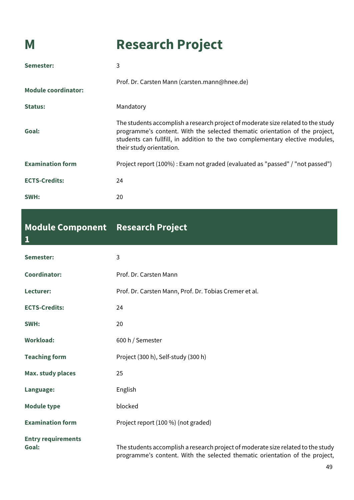## **M Research Project**

| Semester:                  | 3                                                                                                                                                                                                                                                                            |
|----------------------------|------------------------------------------------------------------------------------------------------------------------------------------------------------------------------------------------------------------------------------------------------------------------------|
| <b>Module coordinator:</b> | Prof. Dr. Carsten Mann (carsten.mann@hnee.de)                                                                                                                                                                                                                                |
| Status:                    | Mandatory                                                                                                                                                                                                                                                                    |
| Goal:                      | The students accomplish a research project of moderate size related to the study<br>programme's content. With the selected thematic orientation of the project,<br>students can fullfill, in addition to the two complementary elective modules,<br>their study orientation. |
| <b>Examination form</b>    | Project report (100%): Exam not graded (evaluated as "passed" / "not passed")                                                                                                                                                                                                |
| <b>ECTS-Credits:</b>       | 24                                                                                                                                                                                                                                                                           |
| SWH:                       | 20                                                                                                                                                                                                                                                                           |

### **Module Component Research Project**

| $\overline{\mathbf{1}}$            |                                                                                                                                                                 |
|------------------------------------|-----------------------------------------------------------------------------------------------------------------------------------------------------------------|
| Semester:                          | 3                                                                                                                                                               |
| <b>Coordinator:</b>                | Prof. Dr. Carsten Mann                                                                                                                                          |
| Lecturer:                          | Prof. Dr. Carsten Mann, Prof. Dr. Tobias Cremer et al.                                                                                                          |
| <b>ECTS-Credits:</b>               | 24                                                                                                                                                              |
| SWH:                               | 20                                                                                                                                                              |
| <b>Workload:</b>                   | 600 h / Semester                                                                                                                                                |
| <b>Teaching form</b>               | Project (300 h), Self-study (300 h)                                                                                                                             |
| <b>Max. study places</b>           | 25                                                                                                                                                              |
| Language:                          | English                                                                                                                                                         |
| <b>Module type</b>                 | blocked                                                                                                                                                         |
| <b>Examination form</b>            | Project report (100 %) (not graded)                                                                                                                             |
| <b>Entry requirements</b><br>Goal: | The students accomplish a research project of moderate size related to the study<br>programme's content. With the selected thematic orientation of the project, |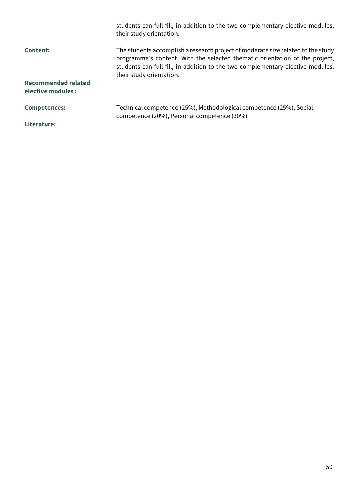|                                                  | students can full fill, in addition to the two complementary elective modules,<br>their study orientation.                                                                                                                                                                    |
|--------------------------------------------------|-------------------------------------------------------------------------------------------------------------------------------------------------------------------------------------------------------------------------------------------------------------------------------|
| <b>Content:</b>                                  | The students accomplish a research project of moderate size related to the study<br>programme's content. With the selected thematic orientation of the project,<br>students can full fill, in addition to the two complementary elective modules,<br>their study orientation. |
| <b>Recommended related</b><br>elective modules : |                                                                                                                                                                                                                                                                               |
| <b>Competences:</b>                              | Technical competence (25%), Methodological competence (25%), Social<br>competence (20%), Personal competence (30%)                                                                                                                                                            |
| Literature:                                      |                                                                                                                                                                                                                                                                               |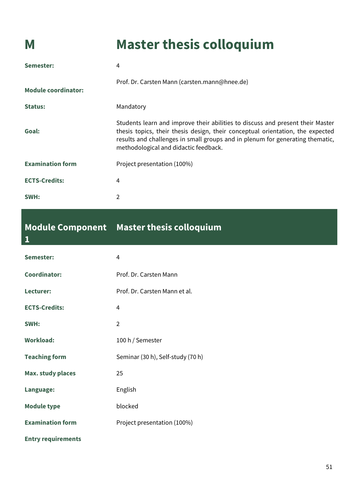**1**

## **M Master thesis colloquium**

| Semester:                  | 4                                                                                                                                                                                                                                                                                          |
|----------------------------|--------------------------------------------------------------------------------------------------------------------------------------------------------------------------------------------------------------------------------------------------------------------------------------------|
| <b>Module coordinator:</b> | Prof. Dr. Carsten Mann (carsten.mann@hnee.de)                                                                                                                                                                                                                                              |
| <b>Status:</b>             | Mandatory                                                                                                                                                                                                                                                                                  |
| Goal:                      | Students learn and improve their abilities to discuss and present their Master<br>thesis topics, their thesis design, their conceptual orientation, the expected<br>results and challenges in small groups and in plenum for generating thematic,<br>methodological and didactic feedback. |
| <b>Examination form</b>    | Project presentation (100%)                                                                                                                                                                                                                                                                |
| <b>ECTS-Credits:</b>       | 4                                                                                                                                                                                                                                                                                          |
| SWH:                       | 2                                                                                                                                                                                                                                                                                          |

### **Module Component Master thesis colloquium**

| Semester:                 | $\overline{4}$                    |
|---------------------------|-----------------------------------|
| <b>Coordinator:</b>       | Prof. Dr. Carsten Mann            |
| Lecturer:                 | Prof. Dr. Carsten Mann et al.     |
| <b>ECTS-Credits:</b>      | $\overline{4}$                    |
| SWH:                      | $\overline{2}$                    |
| <b>Workload:</b>          | 100 h / Semester                  |
| <b>Teaching form</b>      | Seminar (30 h), Self-study (70 h) |
| <b>Max. study places</b>  | 25                                |
| Language:                 | English                           |
| <b>Module type</b>        | blocked                           |
| <b>Examination form</b>   | Project presentation (100%)       |
| <b>Entry requirements</b> |                                   |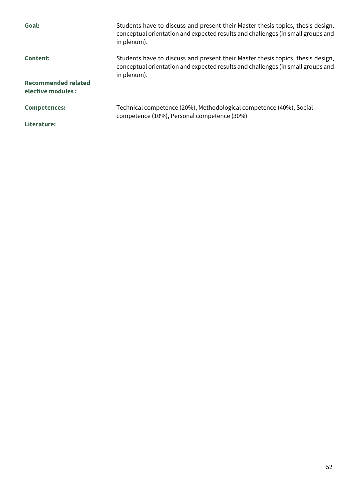| Goal:                                     | Students have to discuss and present their Master thesis topics, thesis design,<br>conceptual orientation and expected results and challenges (in small groups and<br>in plenum). |
|-------------------------------------------|-----------------------------------------------------------------------------------------------------------------------------------------------------------------------------------|
| <b>Content:</b>                           | Students have to discuss and present their Master thesis topics, thesis design,<br>conceptual orientation and expected results and challenges (in small groups and<br>in plenum). |
| Recommended related<br>elective modules : |                                                                                                                                                                                   |
| <b>Competences:</b>                       | Technical competence (20%), Methodological competence (40%), Social<br>competence (10%), Personal competence (30%)                                                                |
| Literature:                               |                                                                                                                                                                                   |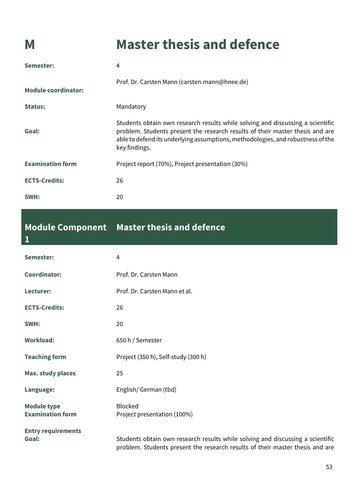**1**

## **M Master thesis and defence**

| Semester:                  | 4                                                                                                                                                                                                                                                                   |
|----------------------------|---------------------------------------------------------------------------------------------------------------------------------------------------------------------------------------------------------------------------------------------------------------------|
| <b>Module coordinator:</b> | Prof. Dr. Carsten Mann (carsten.mann@hnee.de)                                                                                                                                                                                                                       |
| Status:                    | Mandatory                                                                                                                                                                                                                                                           |
| Goal:                      | Students obtain own research results while solving and discussing a scientific<br>problem. Students present the research results of their master thesis and are<br>able to defend its underlying assumptions, methodologies, and robustness of the<br>key findings. |
| <b>Examination form</b>    | Project report (70%), Project presentation (30%)                                                                                                                                                                                                                    |
| <b>ECTS-Credits:</b>       | 26                                                                                                                                                                                                                                                                  |
| SWH:                       | 20                                                                                                                                                                                                                                                                  |

### **Module Component Master thesis and defence**

| Semester:                                     | $\overline{4}$                                                                                                                                                  |
|-----------------------------------------------|-----------------------------------------------------------------------------------------------------------------------------------------------------------------|
| <b>Coordinator:</b>                           | Prof. Dr. Carsten Mann                                                                                                                                          |
| Lecturer:                                     | Prof. Dr. Carsten Mann et al.                                                                                                                                   |
| <b>ECTS-Credits:</b>                          | 26                                                                                                                                                              |
| SWH:                                          | 20                                                                                                                                                              |
| <b>Workload:</b>                              | 650 h / Semester                                                                                                                                                |
| <b>Teaching form</b>                          | Project (350 h), Self-study (300 h)                                                                                                                             |
| <b>Max. study places</b>                      | 25                                                                                                                                                              |
| Language:                                     | English/German (tbd)                                                                                                                                            |
| <b>Module type</b><br><b>Examination form</b> | <b>Blocked</b><br>Project presentation (100%)                                                                                                                   |
| <b>Entry requirements</b><br>Goal:            | Students obtain own research results while solving and discussing a scientific<br>problem. Students present the research results of their master thesis and are |